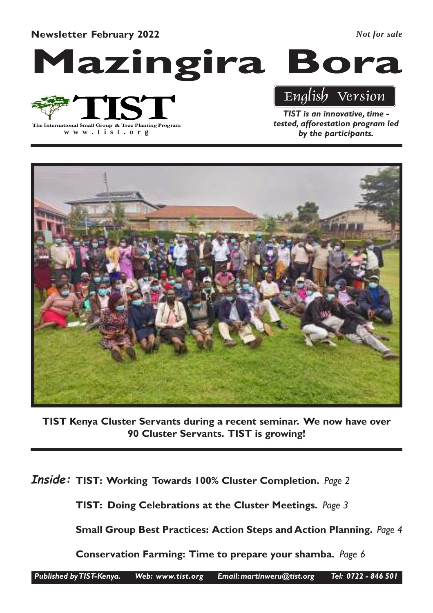Newsletter February 2022

*Not for sale*

Mazingira Bora

The International Small Group & Tree Planting Program

**www .tist.org**

## English Version

TIST is an innovative, time tested, afforestation program led by the participants.



TIST Kenya Cluster Servants during a recent seminar. We now have over 90 Cluster Servants. TIST is growing!

Inside: TIST: Working Towards 100% Cluster Completion. Page 2

TIST: Doing Celebrations at the Cluster Meetings. Page 3

Small Group Best Practices: Action Steps and Action Planning. Page 4

Conservation Farming: Time to prepare your shamba. Page 6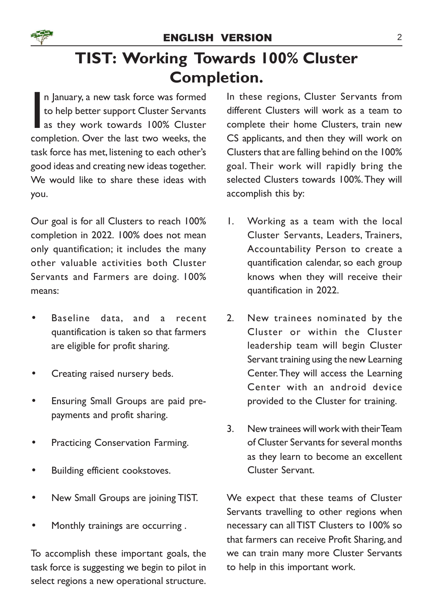# TIST: Working Towards 100% Cluster Completion.

n January, a new task force was formed<br>to help better support Cluster Servants<br>as they work towards 100% Cluster<br>completion. Over the last two weeks, the n January, a new task force was formed to help better support Cluster Servants as they work towards 100% Cluster task force has met, listening to each other's good ideas and creating new ideas together. We would like to share these ideas with you.

Our goal is for all Clusters to reach 100% completion in 2022. 100% does not mean only quantification; it includes the many other valuable activities both Cluster Servants and Farmers are doing. 100% means:

- Baseline data, and a recent quantification is taken so that farmers are eligible for profit sharing.
- Creating raised nursery beds.
- Ensuring Small Groups are paid prepayments and profit sharing.
- Practicing Conservation Farming.
- Building efficient cookstoves.
- New Small Groups are joining TIST.
- Monthly trainings are occurring.

To accomplish these important goals, the task force is suggesting we begin to pilot in select regions a new operational structure.

In these regions, Cluster Servants from different Clusters will work as a team to complete their home Clusters, train new CS applicants, and then they will work on Clusters that are falling behind on the 100% goal. Their work will rapidly bring the selected Clusters towards 100%.They will accomplish this by:

- 1. Working as a team with the local Cluster Servants, Leaders, Trainers, Accountability Person to create a quantification calendar, so each group knows when they will receive their quantification in 2022.
- 2. New trainees nominated by the Cluster or within the Cluster leadership team will begin Cluster Servant training using the new Learning Center. They will access the Learning Center with an android device provided to the Cluster for training.
- 3. New trainees will work with their Team of Cluster Servants for several months as they learn to become an excellent Cluster Servant.

We expect that these teams of Cluster Servants travelling to other regions when necessary can all TIST Clusters to 100% so that farmers can receive Profit Sharing, and we can train many more Cluster Servants to help in this important work.

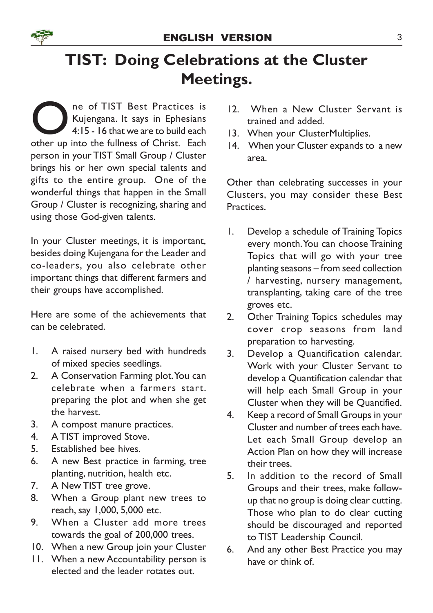

# TIST: Doing Celebrations at the Cluster Meetings.

ne of TIST Best Practices is<br>Kujengana. It says in Ephesians<br>4:15 - 16 that we are to build each<br>other up into the fullness of Christ. Each ne of TIST Best Practices is Kujengana. It says in Ephesians 4:15 - 16 that we are to build each person in your TIST Small Group / Cluster brings his or her own special talents and gifts to the entire group. One of the wonderful things that happen in the Small Group / Cluster is recognizing, sharing and using those God-given talents.

In your Cluster meetings, it is important, besides doing Kujengana for the Leader and co-leaders, you also celebrate other important things that different farmers and their groups have accomplished.

Here are some of the achievements that can be celebrated.

- 1. A raised nursery bed with hundreds of mixed species seedlings.
- 2. A Conservation Farming plot. You can celebrate when a farmers start. preparing the plot and when she get the harvest.
- 3. A compost manure practices.
- 4. A TIST improved Stove.
- 5. Established bee hives.
- 6. A new Best practice in farming, tree planting, nutrition, health etc.
- 7. A New TIST tree grove.
- 8. When a Group plant new trees to reach, say 1,000, 5,000 etc.
- 9. When a Cluster add more trees towards the goal of 200,000 trees.
- 10. When a new Group join your Cluster
- 11. When a new Accountability person is elected and the leader rotates out.
- 12. When a New Cluster Servant is trained and added.
- 13. When your ClusterMultiplies.
- 14. When your Cluster expands to a new area.

Other than celebrating successes in your Clusters, you may consider these Best Practices.

- 1. Develop a schedule of Training Topics every month. You can choose Training Topics that will go with your tree planting seasons – from seed collection / harvesting, nursery management, transplanting, taking care of the tree groves etc.
- 2. Other Training Topics schedules may cover crop seasons from land preparation to harvesting.
- 3. Develop a Quantification calendar. Work with your Cluster Servant to develop a Quantification calendar that will help each Small Group in your Cluster when they will be Quantified.
- 4. Keep a record of Small Groups in your Cluster and number of trees each have. Let each Small Group develop an Action Plan on how they will increase their trees.
- 5. In addition to the record of Small Groups and their trees, make followup that no group is doing clear cutting. Those who plan to do clear cutting should be discouraged and reported to TIST Leadership Council.
- 6. And any other Best Practice you may have or think of.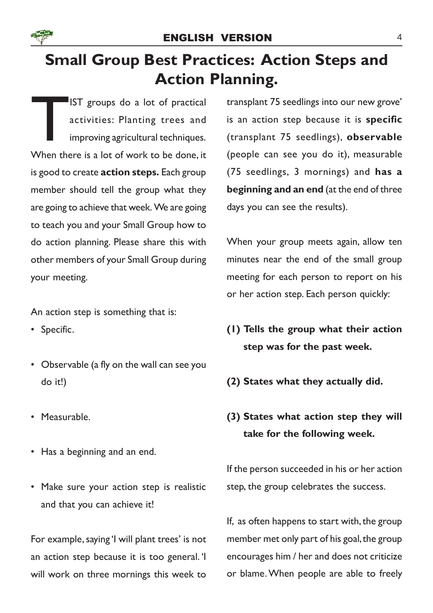

# Small Group Best Practices: Action Steps and Action Planning.

IST groups do a lot of practical<br>activities: Planting trees and<br>improving agricultural techniques.<br>When there is a lot of work to be done, it IST groups do a lot of practical activities: Planting trees and improving agricultural techniques. is good to create **action steps.** Each group member should tell the group what they are going to achieve that week. We are going to teach you and your Small Group how to do action planning. Please share this with other members of your Small Group during your meeting.

An action step is something that is:

- Specific.
- Observable (a fly on the wall can see you do it!)
- Measurable.
- Has a beginning and an end.
- Make sure your action step is realistic and that you can achieve it!

For example, saying 'I will plant trees' is not an action step because it is too general. 'I will work on three mornings this week to transplant 75 seedlings into our new grove' is an action step because it is specific (transplant 75 seedlings), observable (people can see you do it), measurable (75 seedlings, 3 mornings) and has a beginning and an end (at the end of three days you can see the results).

When your group meets again, allow ten minutes near the end of the small group meeting for each person to report on his or her action step. Each person quickly:

- (1) Tells the group what their action step was for the past week.
- (2) States what they actually did.
- (3) States what action step they will take for the following week.

If the person succeeded in his or her action step, the group celebrates the success.

If, as often happens to start with, the group member met only part of his goal, the group encourages him / her and does not criticize or blame. When people are able to freely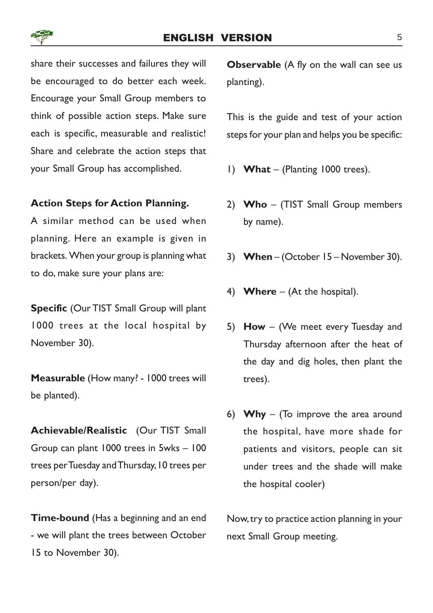## ENGLISH VERSION 5

share their successes and failures they will be encouraged to do better each week. Encourage your Small Group members to think of possible action steps. Make sure each is specific, measurable and realistic! Share and celebrate the action steps that your Small Group has accomplished.

#### Action Steps for Action Planning.

A similar method can be used when planning. Here an example is given in brackets. When your group is planning what to do, make sure your plans are:

Specific (Our TIST Small Group will plant 1000 trees at the local hospital by November 30).

Measurable (How many? - 1000 trees will be planted).

Achievable/Realistic (Our TIST Small Group can plant 1000 trees in 5wks – 100 trees per Tuesday and Thursday, 10 trees per person/per day).

Time-bound (Has a beginning and an end - we will plant the trees between October 15 to November 30).

**Observable** (A fly on the wall can see us planting).

This is the guide and test of your action steps for your plan and helps you be specific:

- 1) What (Planting  $1000$  trees).
- 2) Who (TIST Small Group members by name).
- 3) When (October 15 November 30).
- 4) **Where** (At the hospital).
- 5) How (We meet every Tuesday and Thursday afternoon after the heat of the day and dig holes, then plant the trees).
- 6) Why (To improve the area around the hospital, have more shade for patients and visitors, people can sit under trees and the shade will make the hospital cooler)

Now, try to practice action planning in your next Small Group meeting.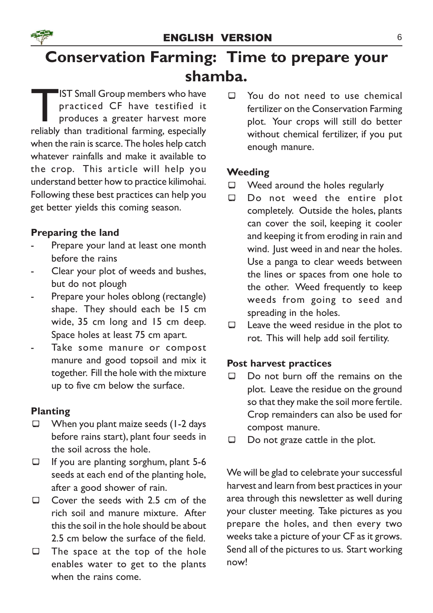

# Conservation Farming: Time to prepare your shamba.

**THERE IST Small Group members who have practiced CF have testified it produces a greater harvest more reliably than traditional farming, especially** IST Small Group members who have practiced CF have testified it produces a greater harvest more when the rain is scarce. The holes help catch whatever rainfalls and make it available to the crop. This article will help you understand better how to practice kilimohai. Following these best practices can help you get better yields this coming season.

## Preparing the land

- Prepare your land at least one month before the rains
- Clear your plot of weeds and bushes, but do not plough
- Prepare your holes oblong (rectangle) shape. They should each be 15 cm wide, 35 cm long and 15 cm deep. Space holes at least 75 cm apart.
- Take some manure or compost manure and good topsoil and mix it together. Fill the hole with the mixture up to five cm below the surface.

## Planting

- $\Box$  When you plant maize seeds (1-2 days before rains start), plant four seeds in the soil across the hole.
- $\Box$  If you are planting sorghum, plant 5-6 seeds at each end of the planting hole, after a good shower of rain.
- $\square$  Cover the seeds with 2.5 cm of the rich soil and manure mixture. After this the soil in the hole should be about 2.5 cm below the surface of the field.
- $\Box$  The space at the top of the hole enables water to get to the plants when the rains come.

 $\Box$  You do not need to use chemical fertilizer on the Conservation Farming plot. Your crops will still do better without chemical fertilizer, if you put enough manure.

## **Weeding**

- $\Box$  Weed around the holes regularly
- ¾ Do not weed the entire plot completely. Outside the holes, plants can cover the soil, keeping it cooler and keeping it from eroding in rain and wind. Just weed in and near the holes. Use a panga to clear weeds between the lines or spaces from one hole to the other. Weed frequently to keep weeds from going to seed and spreading in the holes.
- $\Box$  Leave the weed residue in the plot to rot. This will help add soil fertility.

## Post harvest practices

- $\Box$  Do not burn off the remains on the plot. Leave the residue on the ground so that they make the soil more fertile. Crop remainders can also be used for compost manure.
- $\Box$  Do not graze cattle in the plot.

We will be glad to celebrate your successful harvest and learn from best practices in your area through this newsletter as well during your cluster meeting. Take pictures as you prepare the holes, and then every two weeks take a picture of your CF as it grows. Send all of the pictures to us. Start working now!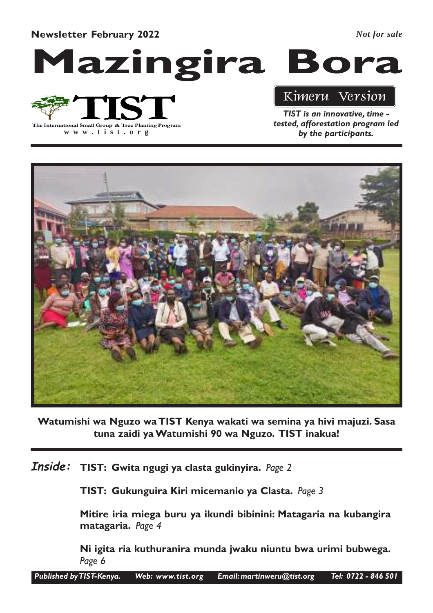Newsletter February 2022

*Not for sale*

Mazingira Bora

# The International Small Group & Tree Planting Program

**www .tist.org**

# Kimeru Version

TIST is an innovative, time tested, afforestation program led by the participants.



Watumishi wa Nguzo wa TIST Kenya wakati wa semina ya hivi majuzi. Sasa tuna zaidi ya Watumishi 90 wa Nguzo. TIST inakua!

 $\boldsymbol{I}$ nside:  $\,$  TIST: Gwita ngugi ya clasta gukinyira. Page 2

TIST: Gukunguira Kiri micemanio ya Clasta. Page 3

Mitire iria miega buru ya ikundi bibinini: Matagaria na kubangira matagaria. Page 4

Ni igita ria kuthuranira munda jwaku niuntu bwa urimi bubwega. Page 6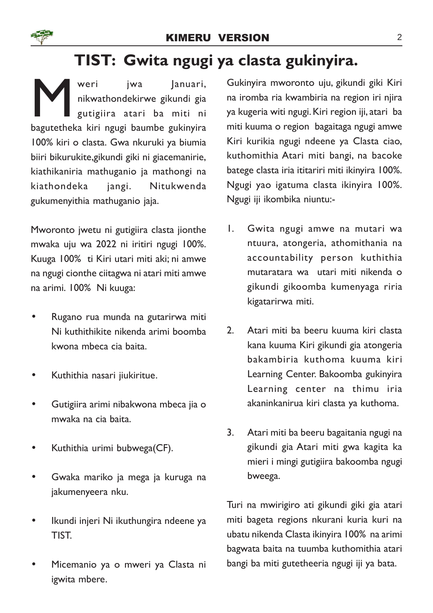# TIST: Gwita ngugi ya clasta gukinyira.

Weri jwa Januari,<br>
nikwathondekirwe gikundi gia<br>
gutigiira atari ba miti ni<br>
bagutetheka kiri ngugi baumbe gukinyira weri jwa Januari, nikwathondekirwe gikundi gia gutigiira atari ba miti ni 100% kiri o clasta. Gwa nkuruki ya biumia biiri bikurukite,gikundi giki ni giacemanirie, kiathikaniria mathuganio ja mathongi na kiathondeka jangi. Nitukwenda gukumenyithia mathuganio jaja.

Mworonto jwetu ni gutigiira clasta jionthe mwaka uju wa 2022 ni iritiri ngugi 100%. Kuuga 100% ti Kiri utari miti aki; ni amwe na ngugi cionthe ciitagwa ni atari miti amwe na arimi. 100% Ni kuuga:

- Rugano rua munda na gutarirwa miti Ni kuthithikite nikenda arimi boomba kwona mbeca cia baita.
- Kuthithia nasari jiukiritue.
- Gutigiira arimi nibakwona mbeca jia o mwaka na cia baita.
- Kuthithia urimi bubwega(CF).
- Gwaka mariko ja mega ja kuruga na jakumenyeera nku.
- Ikundi injeri Ni ikuthungira ndeene ya TIST.
- Micemanio ya o mweri ya Clasta ni igwita mbere.

Gukinyira mworonto uju, gikundi giki Kiri na iromba ria kwambiria na region iri njira ya kugeria witi ngugi. Kiri region iji, atari ba miti kuuma o region bagaitaga ngugi amwe Kiri kurikia ngugi ndeene ya Clasta ciao, kuthomithia Atari miti bangi, na bacoke batege clasta iria ititariri miti ikinyira 100%. Ngugi yao igatuma clasta ikinyira 100%. Ngugi iji ikombika niuntu:-

- 1. Gwita ngugi amwe na mutari wa ntuura, atongeria, athomithania na accountability person kuthithia mutaratara wa utari miti nikenda o gikundi gikoomba kumenyaga riria kigatarirwa miti.
- 2. Atari miti ba beeru kuuma kiri clasta kana kuuma Kiri gikundi gia atongeria bakambiria kuthoma kuuma kiri Learning Center. Bakoomba gukinyira Learning center na thimu iria akaninkanirua kiri clasta ya kuthoma.
- 3. Atari miti ba beeru bagaitania ngugi na gikundi gia Atari miti gwa kagita ka mieri i mingi gutigiira bakoomba ngugi bweega.

Turi na mwirigiro ati gikundi giki gia atari miti bageta regions nkurani kuria kuri na ubatu nikenda Clasta ikinyira 100% na arimi bagwata baita na tuumba kuthomithia atari bangi ba miti gutetheeria ngugi iji ya bata.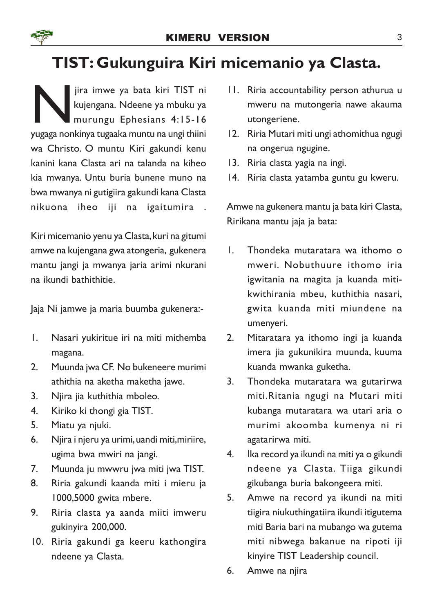# TIST: Gukunguira Kiri micemanio ya Clasta.

Jira imwe ya bata kiri TIST ni<br>kujengana. Ndeene ya mbuku ya<br>murungu Ephesians 4:15-16<br>yugaga nonkinya tugaaka muntu na ungi thiini jira imwe ya bata kiri TIST ni kujengana. Ndeene ya mbuku ya murungu Ephesians 4:15-16 wa Christo. O muntu Kiri gakundi kenu kanini kana Clasta ari na talanda na kiheo kia mwanya. Untu buria bunene muno na bwa mwanya ni gutigiira gakundi kana Clasta nikuona iheo iji na igaitumira .

Kiri micemanio yenu ya Clasta, kuri na gitumi amwe na kujengana gwa atongeria, gukenera mantu jangi ja mwanya jaria arimi nkurani na ikundi bathithitie.

Jaja Ni jamwe ja maria buumba gukenera:-

- 1. Nasari yukiritue iri na miti mithemba magana.
- 2. Muunda jwa CF. No bukeneere murimi athithia na aketha maketha jawe.
- 3. Njira jia kuthithia mboleo.
- 4. Kiriko ki thongi gia TIST.
- 5. Miatu ya njuki.
- 6. Njira i njeru ya urimi, uandi miti,miriire, ugima bwa mwiri na jangi.
- 7. Muunda ju mwwru jwa miti jwa TIST.
- 8. Riria gakundi kaanda miti i mieru ja 1000,5000 gwita mbere.
- 9. Riria clasta ya aanda miiti imweru gukinyira 200,000.
- 10. Riria gakundi ga keeru kathongira ndeene ya Clasta.
- 11. Riria accountability person athurua u mweru na mutongeria nawe akauma utongeriene.
- 12. Riria Mutari miti ungi athomithua ngugi na ongerua ngugine.
- 13. Riria clasta yagia na ingi.
- 14. Riria clasta yatamba guntu gu kweru.

Amwe na gukenera mantu ja bata kiri Clasta, Ririkana mantu jaja ja bata:

- 1. Thondeka mutaratara wa ithomo o mweri. Nobuthuure ithomo iria igwitania na magita ja kuanda mitikwithirania mbeu, kuthithia nasari, gwita kuanda miti miundene na umenyeri.
- 2. Mitaratara ya ithomo ingi ja kuanda imera jia gukunikira muunda, kuuma kuanda mwanka guketha.
- 3. Thondeka mutaratara wa gutarirwa miti.Ritania ngugi na Mutari miti kubanga mutaratara wa utari aria o murimi akoomba kumenya ni ri agatarirwa miti.
- 4. Ika record ya ikundi na miti ya o gikundi ndeene ya Clasta. Tiiga gikundi gikubanga buria bakongeera miti.
- 5. Amwe na record ya ikundi na miti tiigira niukuthingatiira ikundi itigutema miti Baria bari na mubango wa gutema miti nibwega bakanue na ripoti iji kinyire TIST Leadership council.
- 6. Amwe na njira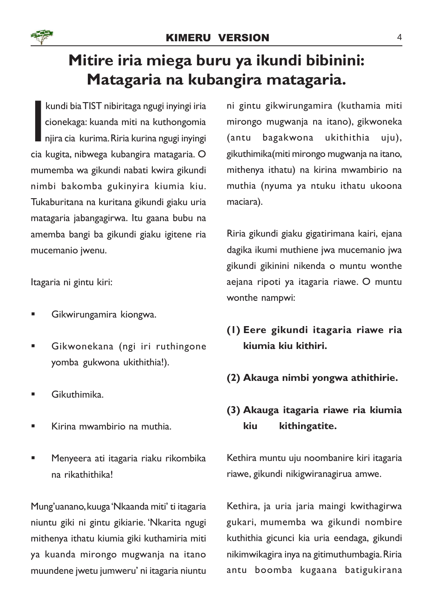

# Mitire iria miega buru ya ikundi bibinini: Matagaria na kubangira matagaria.

kundi bia TIST nibiritaga ngugi inyingi iria<br>cionekaga: kuanda miti na kuthongomia<br>njira cia kurima. Riria kurina ngugi inyingi<br>cia kugita, nibwega kubangira matagaria. O kundi bia TIST nibiritaga ngugi inyingi iria cionekaga: kuanda miti na kuthongomia njira cia kurima. Riria kurina ngugi inyingi mumemba wa gikundi nabati kwira gikundi nimbi bakomba gukinyira kiumia kiu. Tukaburitana na kuritana gikundi giaku uria matagaria jabangagirwa. Itu gaana bubu na amemba bangi ba gikundi giaku igitene ria mucemanio jwenu.

Itagaria ni gintu kiri:

- § Gikwirungamira kiongwa.
- § Gikwonekana (ngi iri ruthingone yomba gukwona ukithithia!).
- § Gikuthimika.
- § Kirina mwambirio na muthia.
- § Menyeera ati itagaria riaku rikombika na rikathithika!

Mung'uanano, kuuga 'Nkaanda miti' ti itagaria niuntu giki ni gintu gikiarie. 'Nkarita ngugi mithenya ithatu kiumia giki kuthamiria miti ya kuanda mirongo mugwanja na itano muundene jwetu jumweru' ni itagaria niuntu

ni gintu gikwirungamira (kuthamia miti mirongo mugwanja na itano), gikwoneka (antu bagakwona ukithithia uju), gikuthimika(miti mirongo mugwanja na itano, mithenya ithatu) na kirina mwambirio na muthia (nyuma ya ntuku ithatu ukoona maciara).

Riria gikundi giaku gigatirimana kairi, ejana dagika ikumi muthiene jwa mucemanio jwa gikundi gikinini nikenda o muntu wonthe aejana ripoti ya itagaria riawe. O muntu wonthe nampwi:

- (1) Eere gikundi itagaria riawe ria kiumia kiu kithiri.
- (2) Akauga nimbi yongwa athithirie.

## (3) Akauga itagaria riawe ria kiumia kiu kithingatite.

Kethira muntu uju noombanire kiri itagaria riawe, gikundi nikigwiranagirua amwe.

Kethira, ja uria jaria maingi kwithagirwa gukari, mumemba wa gikundi nombire kuthithia gicunci kia uria eendaga, gikundi nikimwikagira inya na gitimuthumbagia. Riria antu boomba kugaana batigukirana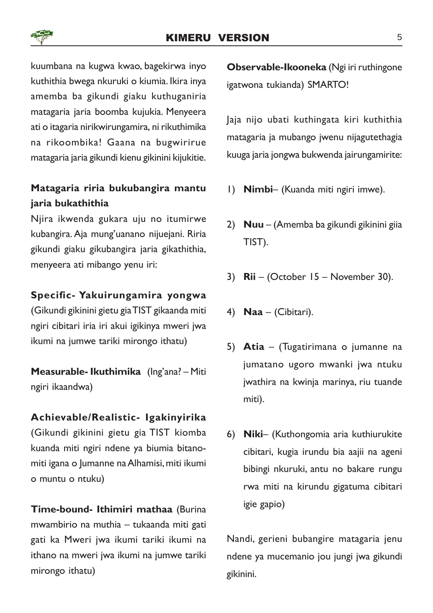kuumbana na kugwa kwao, bagekirwa inyo kuthithia bwega nkuruki o kiumia. Ikira inya amemba ba gikundi giaku kuthuganiria matagaria jaria boomba kujukia. Menyeera ati o itagaria nirikwirungamira, ni rikuthimika na rikoombika! Gaana na bugwirirue matagaria jaria gikundi kienu gikinini kijukitie.

## Matagaria riria bukubangira mantu jaria bukathithia

Njira ikwenda gukara uju no itumirwe kubangira. Aja mung'uanano nijuejani. Riria gikundi giaku gikubangira jaria gikathithia, menyeera ati mibango yenu iri:

## Specific- Yakuirungamira yongwa

(Gikundi gikinini gietu gia TIST gikaanda miti ngiri cibitari iria iri akui igikinya mweri jwa ikumi na jumwe tariki mirongo ithatu)

Measurable- Ikuthimika (Ing'ana? – Miti ngiri ikaandwa)

## Achievable/Realistic- Igakinyirika

(Gikundi gikinini gietu gia TIST kiomba kuanda miti ngiri ndene ya biumia bitanomiti igana o Jumanne na Alhamisi, miti ikumi o muntu o ntuku)

Time-bound- Ithimiri mathaa (Burina mwambirio na muthia – tukaanda miti gati gati ka Mweri jwa ikumi tariki ikumi na ithano na mweri jwa ikumi na jumwe tariki mirongo ithatu)

Observable-Ikooneka (Ngi iri ruthingone igatwona tukianda) SMARTO!

Jaja nijo ubati kuthingata kiri kuthithia matagaria ja mubango jwenu nijagutethagia kuuga jaria jongwa bukwenda jairungamirite:

- 1) Nimbi– (Kuanda miti ngiri imwe).
- 2) Nuu (Amemba ba gikundi gikinini giia TIST).
- 3) Rii (October 15 November 30).
- 4) **Naa** (Cibitari).
- 5) Atia (Tugatirimana o jumanne na jumatano ugoro mwanki jwa ntuku jwathira na kwinja marinya, riu tuande miti).
- 6) Niki– (Kuthongomia aria kuthiurukite cibitari, kugia irundu bia aajii na ageni bibingi nkuruki, antu no bakare rungu rwa miti na kirundu gigatuma cibitari igie gapio)

Nandi, gerieni bubangire matagaria jenu ndene ya mucemanio jou jungi jwa gikundi gikinini.

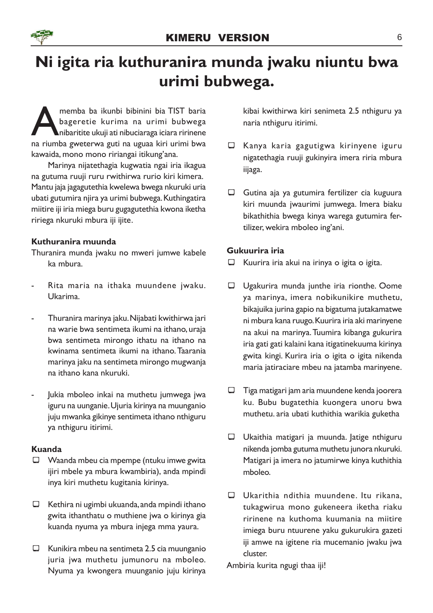

# Ni igita ria kuthuranira munda jwaku niuntu bwa urimi bubwega.

memba ba ikunbi bibinini bia TIST baria<br>bageretie kurima na urimi bubwega<br>nibaritite ukuji ati nibuciaraga iciara ririnene<br>na riumba gweterwa guti na uguaa kiri urimi bwa memba ba ikunbi bibinini bia TIST baria bageretie kurima na urimi bubwega  $\blacktriangle$ nibaritite ukuji ati nibuciaraga iciara ririnene kawaida, mono mono ririangai itikung'ana.

Marinya nijatethagia kugwatia ngai iria ikagua na gutuma ruuji ruru rwithirwa rurio kiri kimera. Mantu jaja jagagutethia kwelewa bwega nkuruki uria ubati gutumira njira ya urimi bubwega. Kuthingatira miitire iji iria miega buru gugagutethia kwona iketha ririega nkuruki mbura iji ijite.

## Kuthuranira muunda

Thuranira munda jwaku no mweri jumwe kabele ka mbura.

- Rita maria na ithaka muundene jwaku. Ukarima.
- Thuranira marinya jaku. Nijabati kwithirwa jari na warie bwa sentimeta ikumi na ithano, uraja bwa sentimeta mirongo ithatu na ithano na kwinama sentimeta ikumi na ithano. Taarania marinya jaku na sentimeta mirongo mugwanja na ithano kana nkuruki.
- Jukia mboleo inkai na muthetu jumwega jwa iguru na uunganie. Ujuria kirinya na muunganio juju mwanka gikinye sentimeta ithano nthiguru ya nthiguru itirimi.

#### Kuanda

- $\Box$  Waanda mbeu cia mpempe (ntuku imwe gwita ijiri mbele ya mbura kwambiria), anda mpindi inya kiri muthetu kugitania kirinya.
- $\Box$  Kethira ni ugimbi ukuanda, anda mpindi ithano gwita ithanthatu o muthiene jwa o kirinya gia kuanda nyuma ya mbura injega mma yaura.
- $\Box$  Kunikira mbeu na sentimeta 2.5 cia muunganio juria jwa muthetu jumunoru na mboleo. Nyuma ya kwongera muunganio juju kirinya

kibai kwithirwa kiri senimeta 2.5 nthiguru ya naria nthiguru itirimi.

- $\Box$  Kanya karia gagutigwa kirinyene iguru nigatethagia ruuji gukinyira imera riria mbura iijaga.
- $\Box$  Gutina aja ya gutumira fertilizer cia kuguura kiri muunda jwaurimi jumwega. Imera biaku bikathithia bwega kinya warega gutumira fertilizer, wekira mboleo ing'ani.

## Gukuurira iria

- $\Box$  Kuurira iria akui na irinya o igita o igita.
- $\Box$  Ugakurira munda junthe iria rionthe. Oome ya marinya, imera nobikunikire muthetu, bikajuika jurina gapio na bigatuma jutakamatwe ni mbura kana ruugo. Kuurira iria aki marinyene na akui na marinya. Tuumira kibanga gukurira iria gati gati kalaini kana itigatinekuuma kirinya gwita kingi. Kurira iria o igita o igita nikenda maria jatiraciare mbeu na jatamba marinyene.
- $\Box$  Tiga matigari jam aria muundene kenda joorera ku. Bubu bugatethia kuongera unoru bwa muthetu. aria ubati kuthithia warikia guketha
- ¾ Ukaithia matigari ja muunda. Jatige nthiguru nikenda jomba gutuma muthetu junora nkuruki. Matigari ja imera no jatumirwe kinya kuthithia mboleo.
- $\Box$  Ukarithia ndithia muundene. Itu rikana, tukagwirua mono gukeneera iketha riaku ririnene na kuthoma kuumania na miitire imiega buru ntuurene yaku gukurukira gazeti iji amwe na igitene ria mucemanio jwaku jwa cluster.

Ambiria kurita ngugi thaa iji!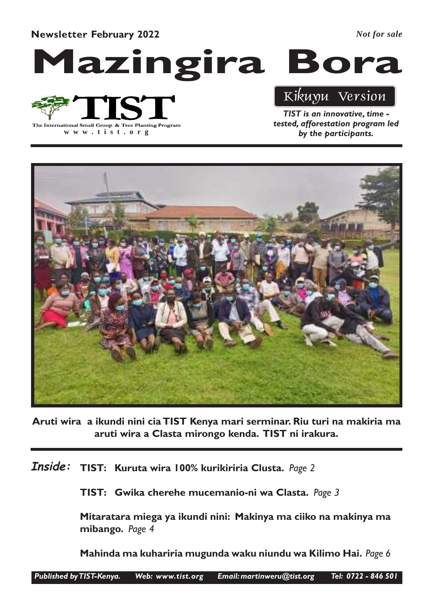Newsletter February 2022

*Not for sale*

Mazingira Bora

The International Small Group & Tree Planting Program

**www .tist.org**

## Kikuyu Version

TIST is an innovative, time tested, afforestation program led by the participants.



Aruti wira a ikundi nini cia TIST Kenya mari serminar. Riu turi na makiria ma aruti wira a Clasta mirongo kenda. TIST ni irakura.

 $\bm{I}$ nside:  $\bm{\mathsf{T}}$ IST: Kuruta wira 100% kurikiriria Clusta. Page 2

TIST: Gwika cherehe mucemanio-ni wa Clasta. Page 3

Mitaratara miega ya ikundi nini: Makinya ma ciiko na makinya ma mibango. Page 4

Mahinda ma kuhariria mugunda waku niundu wa Kilimo Hai. Page 6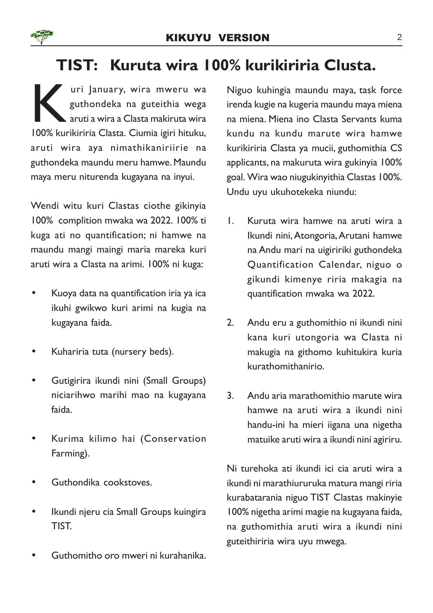# TIST: Kuruta wira 100% kurikiriria Clusta.

kari January, wira mweru wa guthondeka na guteithia wega aruti a wira a Clasta makiruta wira 100% kurikiriria Clasta. Ciumia igiri hituku, uri January, wira mweru wa guthondeka na guteithia wega aruti a wira a Clasta makiruta wira aruti wira aya nimathikaniriirie na guthondeka maundu meru hamwe. Maundu maya meru niturenda kugayana na inyui.

Wendi witu kuri Clastas ciothe gikinyia 100% complition mwaka wa 2022. 100% ti kuga ati no quantification; ni hamwe na maundu mangi maingi maria mareka kuri aruti wira a Clasta na arimi. 100% ni kuga:

- Kuoya data na quantification iria ya ica ikuhi gwikwo kuri arimi na kugia na kugayana faida.
- Kuhariria tuta (nursery beds).
- Gutigirira ikundi nini (Small Groups) niciarihwo marihi mao na kugayana faida.
- Kurima kilimo hai (Conservation Farming).
- Guthondika cookstoves.
- Ikundi njeru cia Small Groups kuingira TIST.
- Guthomitho oro mweri ni kurahanika.

Niguo kuhingia maundu maya, task force irenda kugie na kugeria maundu maya miena na miena. Miena ino Clasta Servants kuma kundu na kundu marute wira hamwe kurikiriria Clasta ya mucii, guthomithia CS applicants, na makuruta wira gukinyia 100% goal. Wira wao niugukinyithia Clastas 100%. Undu uyu ukuhotekeka niundu:

- 1. Kuruta wira hamwe na aruti wira a Ikundi nini,Atongoria,Arutani hamwe na Andu mari na uigiririki guthondeka Quantification Calendar, niguo o gikundi kimenye riria makagia na quantification mwaka wa 2022.
- 2. Andu eru a guthomithio ni ikundi nini kana kuri utongoria wa Clasta ni makugia na githomo kuhitukira kuria kurathomithanirio.
- 3. Andu aria marathomithio marute wira hamwe na aruti wira a ikundi nini handu-ini ha mieri iigana una nigetha matuike aruti wira a ikundi nini agiriru.

Ni turehoka ati ikundi ici cia aruti wira a ikundi ni marathiururuka matura mangi riria kurabatarania niguo TIST Clastas makinyie 100% nigetha arimi magie na kugayana faida, na guthomithia aruti wira a ikundi nini guteithiriria wira uyu mwega.

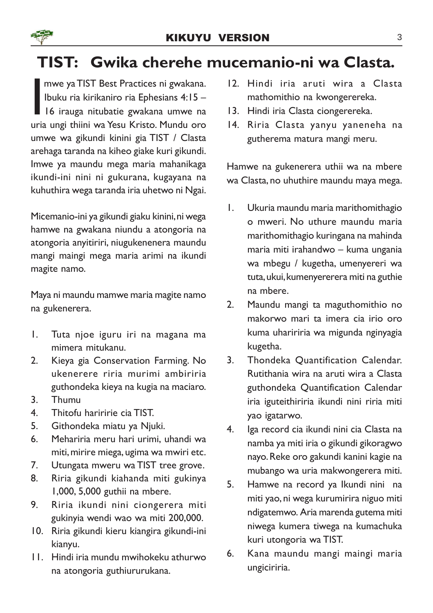# TIST: Gwika cherehe mucemanio-ni wa Clasta.

mwe ya TIST Best Practices ni gwakana.<br>Ibuku ria kirikaniro ria Ephesians 4:15 –<br>I6 irauga nitubatie gwakana umwe na<br>uria ungi thiini wa Yesu Kristo. Mundu oro mwe ya TIST Best Practices ni gwakana. Ibuku ria kirikaniro ria Ephesians 4:15 – 16 irauga nitubatie gwakana umwe na umwe wa gikundi kinini gia TIST / Clasta arehaga taranda na kiheo giake kuri gikundi. Imwe ya maundu mega maria mahanikaga ikundi-ini nini ni gukurana, kugayana na kuhuthira wega taranda iria uhetwo ni Ngai.

Micemanio-ini ya gikundi giaku kinini, ni wega hamwe na gwakana niundu a atongoria na atongoria anyitiriri, niugukenenera maundu mangi maingi mega maria arimi na ikundi magite namo.

Maya ni maundu mamwe maria magite namo na gukenerera.

- 1. Tuta njoe iguru iri na magana ma mimera mitukanu.
- 2. Kieya gia Conservation Farming. No ukenerere riria murimi ambiriria guthondeka kieya na kugia na maciaro.
- 3. Thumu
- 4. Thitofu hariririe cia TIST.
- 5. Githondeka miatu ya Njuki.
- 6. Mehariria meru hari urimi, uhandi wa miti, mirire miega, ugima wa mwiri etc.
- 7. Utungata mweru wa TIST tree grove.
- 8. Riria gikundi kiahanda miti gukinya 1,000, 5,000 guthii na mbere.
- 9. Riria ikundi nini ciongerera miti gukinyia wendi wao wa miti 200,000.
- 10. Riria gikundi kieru kiangira gikundi-ini kianyu.
- 11. Hindi iria mundu mwihokeku athurwo na atongoria guthiururukana.
- 12. Hindi iria aruti wira a Clasta mathomithio na kwongerereka.
- 13. Hindi iria Clasta ciongerereka.
- 14. Riria Clasta yanyu yaneneha na gutherema matura mangi meru.

Hamwe na gukenerera uthii wa na mbere wa Clasta, no uhuthire maundu maya mega.

- 1. Ukuria maundu maria marithomithagio o mweri. No uthure maundu maria marithomithagio kuringana na mahinda maria miti irahandwo – kuma ungania wa mbegu / kugetha, umenyereri wa tuta, ukui, kumenyererera miti na guthie na mbere.
- 2. Maundu mangi ta maguthomithio no makorwo mari ta imera cia irio oro kuma uhaririria wa migunda nginyagia kugetha.
- 3. Thondeka Quantification Calendar. Rutithania wira na aruti wira a Clasta guthondeka Quantification Calendar iria iguteithiriria ikundi nini riria miti yao igatarwo.
- 4. Iga record cia ikundi nini cia Clasta na namba ya miti iria o gikundi gikoragwo nayo. Reke oro gakundi kanini kagie na mubango wa uria makwongerera miti.
- 5. Hamwe na record ya Ikundi nini na miti yao, ni wega kurumirira niguo miti ndigatemwo. Aria marenda gutema miti niwega kumera tiwega na kumachuka kuri utongoria wa TIST.
- 6. Kana maundu mangi maingi maria ungiciriria.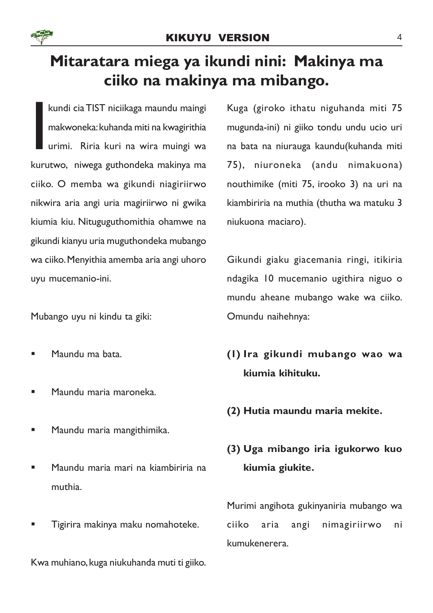

# Mitaratara miega ya ikundi nini: Makinya ma ciiko na makinya ma mibango.

**I**<br>Ikuru kundi cia TIST niciikaga maundu maingi makwoneka: kuhanda miti na kwagirithia urimi. Riria kuri na wira muingi wa kurutwo, niwega guthondeka makinya ma ciiko. O memba wa gikundi niagiriirwo nikwira aria angi uria magiriirwo ni gwika kiumia kiu. Nituguguthomithia ohamwe na gikundi kianyu uria muguthondeka mubango wa ciiko. Menyithia amemba aria angi uhoro uyu mucemanio-ini.

Mubango uyu ni kindu ta giki:

- § Maundu ma bata.
- § Maundu maria maroneka.
- § Maundu maria mangithimika.
- § Maundu maria mari na kiambiriria na muthia.
- § Tigirira makinya maku nomahoteke.

Kwa muhiano, kuga niukuhanda muti ti giiko.

Kuga (giroko ithatu niguhanda miti 75 mugunda-ini) ni giiko tondu undu ucio uri na bata na niurauga kaundu(kuhanda miti 75), niuroneka (andu nimakuona) nouthimike (miti 75, irooko 3) na uri na kiambiriria na muthia (thutha wa matuku 3 niukuona maciaro).

Gikundi giaku giacemania ringi, itikiria ndagika 10 mucemanio ugithira niguo o mundu aheane mubango wake wa ciiko. Omundu naihehnya:

- (1) Ira gikundi mubango wao wa kiumia kihituku.
- (2) Hutia maundu maria mekite.

## (3) Uga mibango iria igukorwo kuo kiumia giukite.

Murimi angihota gukinyaniria mubango wa ciiko aria angi nimagiriirwo ni kumukenerera.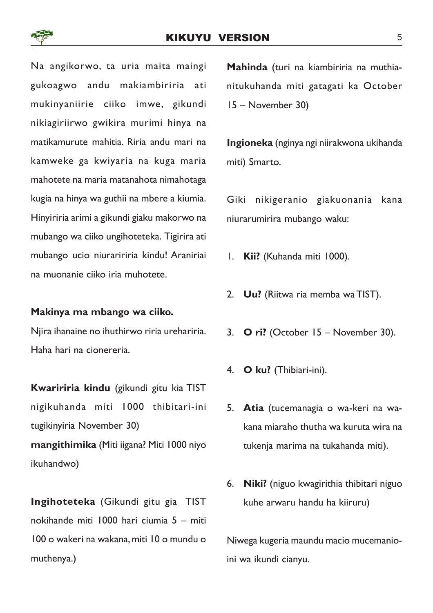Na angikorwo, ta uria maita maingi gukoagwo andu makiambiriria ati mukinyaniirie ciiko imwe, gikundi nikiagiriirwo gwikira murimi hinya na matikamurute mahitia. Riria andu mari na kamweke ga kwiyaria na kuga maria mahotete na maria matanahota nimahotaga kugia na hinya wa guthii na mbere a kiumia. Hinyiriria arimi a gikundi giaku makorwo na mubango wa ciiko ungihoteteka. Tigirira ati mubango ucio niuraririria kindu! Araniriai na muonanie ciiko iria muhotete.

#### Makinya ma mbango wa ciiko.

Njira ihanaine no ihuthirwo riria urehariria. Haha hari na cionereria.

Kwaririria kindu (gikundi gitu kia TIST nigikuhanda miti 1000 thibitari-ini tugikinyiria November 30) mangithimika (Miti iigana? Miti 1000 niyo ikuhandwo)

Ingihoteteka (Gikundi gitu gia TIST nokihande miti 1000 hari ciumia 5 – miti 100 o wakeri na wakana, miti 10 o mundu o muthenya.)

Mahinda (turi na kiambiriria na muthianitukuhanda miti gatagati ka October 15 – November 30)

Ingioneka (nginya ngi niirakwona ukihanda miti) Smarto.

Giki nikigeranio giakuonania kana niurarumirira mubango waku:

- 1. Kii? (Kuhanda miti 1000).
- 2. Uu? (Riitwa ria memba wa TIST).
- 3. O ri? (October  $15 -$  November 30).
- 4. O ku? (Thibiari-ini).
- 5. Atia (tucemanagia o wa-keri na wakana miaraho thutha wa kuruta wira na tukenja marima na tukahanda miti).
- 6. Niki? (niguo kwagirithia thibitari niguo kuhe arwaru handu ha kiiruru)

Niwega kugeria maundu macio mucemanioini wa ikundi cianyu.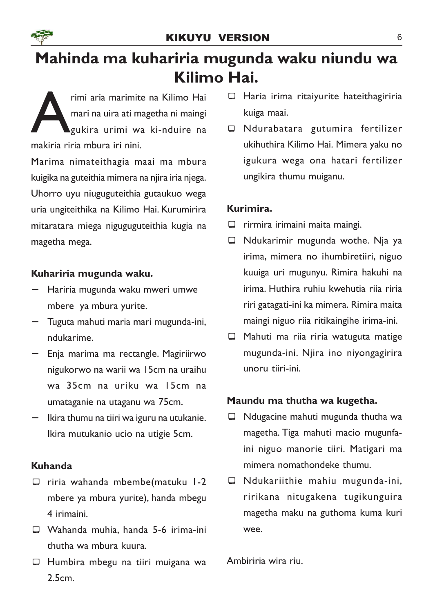# Mahinda ma kuhariria mugunda waku niundu wa Kilimo Hai.

rimi aria marimit rimi aria marimite na Kilimo Hai mari na uira ati magetha ni maingi gukira urimi wa ki-nduire na

Marima nimateithagia maai ma mbura kuigika na guteithia mimera na njira iria njega. Uhorro uyu niuguguteithia gutaukuo wega uria ungiteithika na Kilimo Hai. Kurumirira mitaratara miega niguguguteithia kugia na magetha mega.

## Kuhariria mugunda waku.

- − Hariria mugunda waku mweri umwe mbere ya mbura yurite.
- − Tuguta mahuti maria mari mugunda-ini, ndukarime.
- − Enja marima ma rectangle. Magiriirwo nigukorwo na warii wa 15cm na uraihu wa 35cm na uriku wa 15cm na umataganie na utaganu wa 75cm.
- − Ikira thumu na tiiri wa iguru na utukanie. Ikira mutukanio ucio na utigie 5cm.

## Kuhanda

- $\Box$  riria wahanda mbembe(matuku 1-2 mbere ya mbura yurite), handa mbegu 4 irimaini.
- □ Wahanda muhia, handa 5-6 irima-ini thutha wa mbura kuura.
- $\Box$  Humbira mbegu na tiiri muigana wa 2.5cm.
- $\Box$  Haria irima ritaiyurite hateithagiriria kuiga maai.
- ¾ Ndurabatara gutumira fertilizer ukihuthira Kilimo Hai. Mimera yaku no igukura wega ona hatari fertilizer ungikira thumu muiganu.

## Kurimira.

- $\Box$  rirmira irimaini maita maingi.
- $\Box$  Ndukarimir mugunda wothe. Nja ya irima, mimera no ihumbiretiiri, niguo kuuiga uri mugunyu. Rimira hakuhi na irima. Huthira ruhiu kwehutia riia riria riri gatagati-ini ka mimera. Rimira maita maingi niguo riia ritikaingihe irima-ini.
- $\Box$  Mahuti ma riia riria watuguta matige mugunda-ini. Njira ino niyongagirira unoru tiiri-ini.

## Maundu ma thutha wa kugetha.

- $\Box$  Ndugacine mahuti mugunda thutha wa magetha. Tiga mahuti macio mugunfaini niguo manorie tiiri. Matigari ma mimera nomathondeke thumu.
- $\Box$  Ndukariithie mahiu mugunda-ini, ririkana nitugakena tugikunguira magetha maku na guthoma kuma kuri wee.

Ambiriria wira riu.

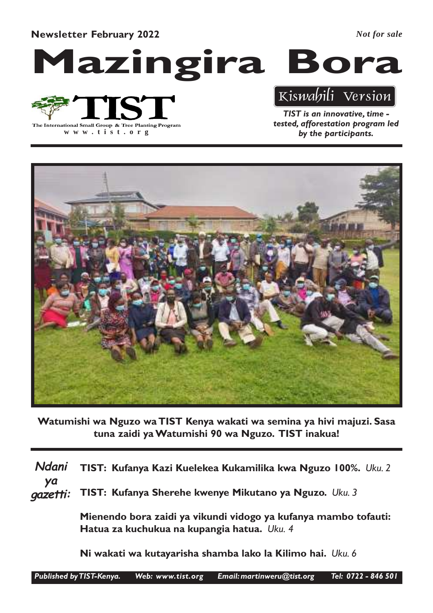Newsletter February 2022

*Not for sale*

Mazingira Bora

The International Small Group & Tree Planting Program

**www .tist.org**

# Kiswahili Version

TIST is an innovative, time tested, afforestation program led by the participants.



Watumishi wa Nguzo wa TIST Kenya wakati wa semina ya hivi majuzi. Sasa tuna zaidi ya Watumishi 90 wa Nguzo. TIST inakua!

TIST: Kufanya Kazi Kuelekea Kukamilika kwa Nguzo 100%. Uku. 2 TIST: Kufanya Sherehe kwenye Mikutano ya Nguzo. Uku. 3 Mienendo bora zaidi ya vikundi vidogo ya kufanya mambo tofauti: Hatua za kuchukua na kupangia hatua. Uku. 4 Ndani ya gazetti:

Ni wakati wa kutayarisha shamba lako la Kilimo hai. Uku. 6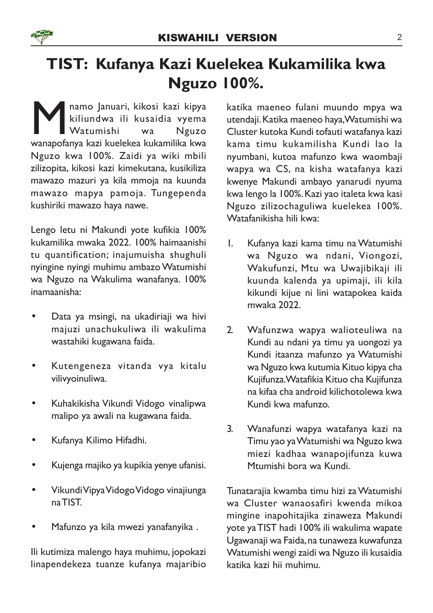

# TIST: Kufanya Kazi Kuelekea Kukamilika kwa Nguzo 100%.

**MANA kazi kukazi ku** kusaidia ku kulka kukamilika kwa wanapofanya kazi kuelekea kukamilika kwa kukamilika kwa kukamilika kwa kukamilika kwa kukamilika kwa kukamilika kwa kukamilika kwa kukamilika kwa kukamilika kwa kukami namo Januari, kikosi kazi kipya kiliundwa ili kusaidia vyema Watumishi wa Nguzo Nguzo kwa 100%. Zaidi ya wiki mbili zilizopita, kikosi kazi kimekutana, kusikiliza mawazo mazuri ya kila mmoja na kuunda mawazo mapya pamoja. Tungependa kushiriki mawazo haya nawe.

Lengo letu ni Makundi yote kufikia 100% kukamilika mwaka 2022. 100% haimaanishi tu quantification; inajumuisha shughuli nyingine nyingi muhimu ambazo Watumishi wa Nguzo na Wakulima wanafanya. 100% inamaanisha:

- Data ya msingi, na ukadiriaji wa hivi majuzi unachukuliwa ili wakulima wastahiki kugawana faida.
- Kutengeneza vitanda vya kitalu vilivyoinuliwa.
- Kuhakikisha Vikundi Vidogo vinalipwa malipo ya awali na kugawana faida.
- Kufanya Kilimo Hifadhi.
- Kujenga majiko ya kupikia yenye ufanisi.
- Vikundi Vipya Vidogo Vidogo vinajiunga na TIST.
- Mafunzo ya kila mwezi yanafanyika .

Ili kutimiza malengo haya muhimu, jopokazi linapendekeza tuanze kufanya majaribio katika maeneo fulani muundo mpya wa utendaji. Katika maeneo haya, Watumishi wa Cluster kutoka Kundi tofauti watafanya kazi kama timu kukamilisha Kundi lao la nyumbani, kutoa mafunzo kwa waombaji wapya wa CS, na kisha watafanya kazi kwenye Makundi ambayo yanarudi nyuma kwa lengo la 100%. Kazi yao italeta kwa kasi Nguzo zilizochaguliwa kuelekea 100%. Watafanikisha hili kwa:

- 1. Kufanya kazi kama timu na Watumishi wa Nguzo wa ndani, Viongozi, Wakufunzi, Mtu wa Uwajibikaji ili kuunda kalenda ya upimaji, ili kila kikundi kijue ni lini watapokea kaida mwaka 2022.
- 2. Wafunzwa wapya walioteuliwa na Kundi au ndani ya timu ya uongozi ya Kundi itaanza mafunzo ya Watumishi wa Nguzo kwa kutumia Kituo kipya cha Kujifunza. Watafikia Kituo cha Kujifunza na kifaa cha android kilichotolewa kwa Kundi kwa mafunzo.
- 3. Wanafunzi wapya watafanya kazi na Timu yao ya Watumishi wa Nguzo kwa miezi kadhaa wanapojifunza kuwa Mtumishi bora wa Kundi.

Tunatarajia kwamba timu hizi za Watumishi wa Cluster wanaosafiri kwenda mikoa mingine inapohitajika zinaweza Makundi yote ya TIST hadi 100% ili wakulima wapate Ugawanaji wa Faida, na tunaweza kuwafunza Watumishi wengi zaidi wa Nguzo ili kusaidia katika kazi hii muhimu.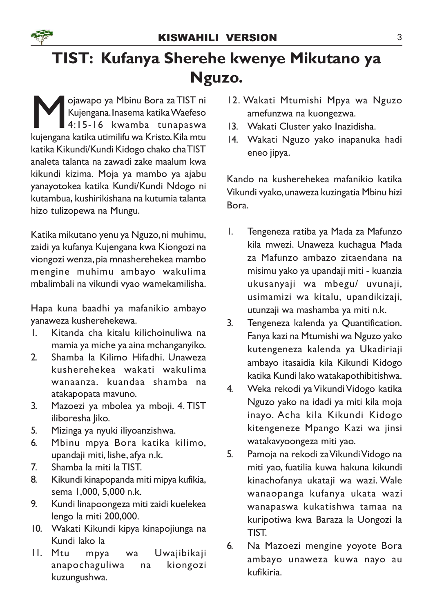

# TIST: Kufanya Sherehe kwenye Mikutano ya Nguzo.

M Palawapo ya Mbinu Bora za TIST ni<br>Kujengana Inasema katika Waefeso<br>Kujengana katika utimilifu wa Kristo. Kila mtu ojawapo ya Mbinu Bora za TIST ni Kujengana. Inasema katika Waefeso 4:15-16 kwamba tunapaswa katika Kikundi/Kundi Kidogo chako cha TIST analeta talanta na zawadi zake maalum kwa kikundi kizima. Moja ya mambo ya ajabu yanayotokea katika Kundi/Kundi Ndogo ni kutambua, kushirikishana na kutumia talanta hizo tulizopewa na Mungu.

Katika mikutano yenu ya Nguzo, ni muhimu, zaidi ya kufanya Kujengana kwa Kiongozi na viongozi wenza, pia mnasherehekea mambo mengine muhimu ambayo wakulima mbalimbali na vikundi vyao wamekamilisha.

Hapa kuna baadhi ya mafanikio ambayo yanaweza kusherehekewa.

- 1. Kitanda cha kitalu kilichoinuliwa na mamia ya miche ya aina mchanganyiko.
- 2. Shamba la Kilimo Hifadhi. Unaweza kusherehekea wakati wakulima wanaanza. kuandaa shamba na atakapopata mavuno.
- 3. Mazoezi ya mbolea ya mboji. 4. TIST iliboresha Jiko.
- 5. Mizinga ya nyuki iliyoanzishwa.
- 6. Mbinu mpya Bora katika kilimo, upandaji miti, lishe, afya n.k.
- 7. Shamba la miti la TIST.
- 8. Kikundi kinapopanda miti mipya kufikia, sema 1,000, 5,000 n.k.
- 9. Kundi linapoongeza miti zaidi kuelekea lengo la miti 200,000.
- 10. Wakati Kikundi kipya kinapojiunga na Kundi lako la
- 11. Mtu mpya wa Uwajibikaji anapochaguliwa na kiongozi kuzungushwa.
- 12. Wakati Mtumishi Mpya wa Nguzo amefunzwa na kuongezwa.
- 13. Wakati Cluster yako Inazidisha.
- 14. Wakati Nguzo yako inapanuka hadi eneo jipya.

Kando na kusherehekea mafanikio katika Vikundi vyako, unaweza kuzingatia Mbinu hizi Bora.

- 1. Tengeneza ratiba ya Mada za Mafunzo kila mwezi. Unaweza kuchagua Mada za Mafunzo ambazo zitaendana na misimu yako ya upandaji miti - kuanzia ukusanyaji wa mbegu/ uvunaji, usimamizi wa kitalu, upandikizaji, utunzaji wa mashamba ya miti n.k.
- 3. Tengeneza kalenda ya Quantification. Fanya kazi na Mtumishi wa Nguzo yako kutengeneza kalenda ya Ukadiriaji ambayo itasaidia kila Kikundi Kidogo katika Kundi lako watakapothibitishwa.
- 4. Weka rekodi ya Vikundi Vidogo katika Nguzo yako na idadi ya miti kila moja inayo. Acha kila Kikundi Kidogo kitengeneze Mpango Kazi wa jinsi watakavyoongeza miti yao.
- 5. Pamoja na rekodi za Vikundi Vidogo na miti yao, fuatilia kuwa hakuna kikundi kinachofanya ukataji wa wazi. Wale wanaopanga kufanya ukata wazi wanapaswa kukatishwa tamaa na kuripotiwa kwa Baraza la Uongozi la TIST.
- 6. Na Mazoezi mengine yoyote Bora ambayo unaweza kuwa nayo au kufikiria.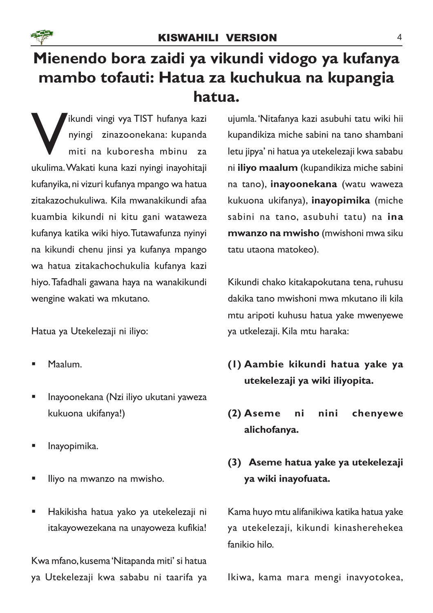

# Mienendo bora zaidi ya vikundi vidogo ya kufanya mambo tofauti: Hatua za kuchukua na kupangia hatua.

Ikundi vingi vya TIST hufanya kazi<br>nyingi zinazoonekana: kupanda<br>miti na kuboresha mbinu za<br>ukulima. Wakati kuna kazi nyingi inayohitaji ikundi vingi vya TIST hufanya kazi nyingi zinazoonekana: kupanda miti na kuboresha mbinu za kufanyika, ni vizuri kufanya mpango wa hatua zitakazochukuliwa. Kila mwanakikundi afaa kuambia kikundi ni kitu gani wataweza kufanya katika wiki hiyo. Tutawafunza nyinyi na kikundi chenu jinsi ya kufanya mpango wa hatua zitakachochukulia kufanya kazi hiyo. Tafadhali gawana haya na wanakikundi wengine wakati wa mkutano.

Hatua ya Utekelezaji ni iliyo:

- § Maalum.
- § Inayoonekana (Nzi iliyo ukutani yaweza kukuona ukifanya!)
- § Inayopimika.
- § Iliyo na mwanzo na mwisho.
- § Hakikisha hatua yako ya utekelezaji ni itakayowezekana na unayoweza kufikia!

Kwa mfano, kusema 'Nitapanda miti' si hatua ya Utekelezaji kwa sababu ni taarifa ya

ujumla.'Nitafanya kazi asubuhi tatu wiki hii kupandikiza miche sabini na tano shambani letu jipya' ni hatua ya utekelezaji kwa sababu ni iliyo maalum (kupandikiza miche sabini na tano), inayoonekana (watu waweza kukuona ukifanya), inayopimika (miche sabini na tano, asubuhi tatu) na ina mwanzo na mwisho (mwishoni mwa siku tatu utaona matokeo).

Kikundi chako kitakapokutana tena, ruhusu dakika tano mwishoni mwa mkutano ili kila mtu aripoti kuhusu hatua yake mwenyewe ya utkelezaji. Kila mtu haraka:

- (1) Aambie kikundi hatua yake ya utekelezaji ya wiki iliyopita.
- (2) Aseme ni nini chenyewe alichofanya.

## (3) Aseme hatua yake ya utekelezaji ya wiki inayofuata.

Kama huyo mtu alifanikiwa katika hatua yake ya utekelezaji, kikundi kinasherehekea fanikio hilo.

Ikiwa, kama mara mengi inavyotokea,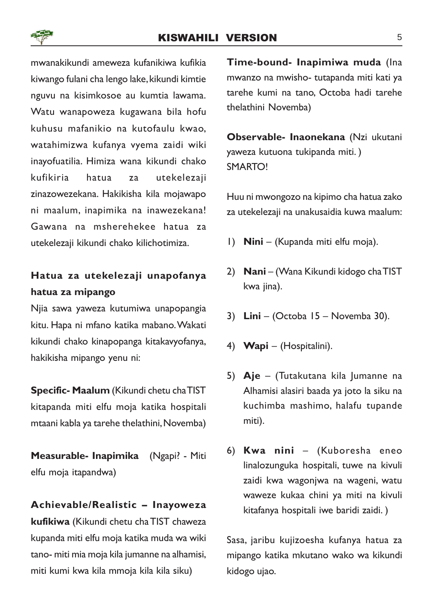

## KISWAHILI VERSION 5

mwanakikundi ameweza kufanikiwa kufikia kiwango fulani cha lengo lake, kikundi kimtie nguvu na kisimkosoe au kumtia lawama. Watu wanapoweza kugawana bila hofu kuhusu mafanikio na kutofaulu kwao, watahimizwa kufanya vyema zaidi wiki inayofuatilia. Himiza wana kikundi chako kufikiria hatua za utekelezaji zinazowezekana. Hakikisha kila mojawapo ni maalum, inapimika na inawezekana! Gawana na msherehekee hatua za utekelezaji kikundi chako kilichotimiza.

## Hatua za utekelezaji unapofanya hatua za mipango

Njia sawa yaweza kutumiwa unapopangia kitu. Hapa ni mfano katika mabano. Wakati kikundi chako kinapopanga kitakavyofanya, hakikisha mipango yenu ni:

Specific- Maalum (Kikundi chetu cha TIST kitapanda miti elfu moja katika hospitali mtaani kabla ya tarehe thelathini, Novemba)

Measurable- Inapimika (Ngapi? - Miti elfu moja itapandwa)

#### Achievable/Realistic – Inayoweza

kufikiwa (Kikundi chetu cha TIST chaweza kupanda miti elfu moja katika muda wa wiki tano- miti mia moja kila jumanne na alhamisi, miti kumi kwa kila mmoja kila kila siku)

Time-bound- Inapimiwa muda (Ina mwanzo na mwisho- tutapanda miti kati ya tarehe kumi na tano, Octoba hadi tarehe thelathini Novemba)

Observable- Inaonekana (Nzi ukutani yaweza kutuona tukipanda miti. ) SMARTO!

Huu ni mwongozo na kipimo cha hatua zako za utekelezaji na unakusaidia kuwa maalum:

- 1) Nini (Kupanda miti elfu moja).
- 2) Nani (Wana Kikundi kidogo cha TIST kwa jina).
- 3) Lini (Octoba 15 Novemba 30).
- 4) Wapi (Hospitalini).
- 5) Aje (Tutakutana kila Jumanne na Alhamisi alasiri baada ya joto la siku na kuchimba mashimo, halafu tupande miti).
- 6) Kwa nini (Kuboresha eneo linalozunguka hospitali, tuwe na kivuli zaidi kwa wagonjwa na wageni, watu waweze kukaa chini ya miti na kivuli kitafanya hospitali iwe baridi zaidi. )

Sasa, jaribu kujizoesha kufanya hatua za mipango katika mkutano wako wa kikundi kidogo ujao.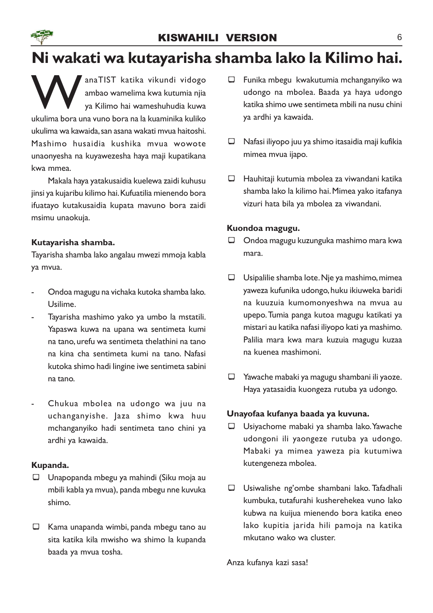# Ni wakati wa kutayarisha shamba lako la Kilimo hai.

ana TIST katika vikundi vidogo ambao wamelima kwa kutumia njia ya Kilimo hai wameshuhudia kuwa ukulima bora una vuno bora na la kuaminika kuliko anaTIST katika vikundi vidogo ambao wamelima kwa kutumia njia ya Kilimo hai wameshuhudia kuwa ukulima wa kawaida, san asana wakati mvua haitoshi. Mashimo husaidia kushika mvua wowote unaonyesha na kuyawezesha haya maji kupatikana kwa mmea.

Makala haya yatakusaidia kuelewa zaidi kuhusu jinsi ya kujaribu kilimo hai. Kufuatilia mienendo bora ifuatayo kutakusaidia kupata mavuno bora zaidi msimu unaokuja.

## Kutayarisha shamba.

Tayarisha shamba lako angalau mwezi mmoja kabla ya mvua.

- Ondoa magugu na vichaka kutoka shamba lako. Usilime.
- Tayarisha mashimo yako ya umbo la mstatili. Yapaswa kuwa na upana wa sentimeta kumi na tano, urefu wa sentimeta thelathini na tano na kina cha sentimeta kumi na tano. Nafasi kutoka shimo hadi lingine iwe sentimeta sabini na tano.
- Chukua mbolea na udongo wa juu na uchanganyishe. Jaza shimo kwa huu mchanganyiko hadi sentimeta tano chini ya ardhi ya kawaida.

## Kupanda.

- $\Box$  Unapopanda mbegu ya mahindi (Siku moja au mbili kabla ya mvua), panda mbegu nne kuvuka shimo.
- $\Box$  Kama unapanda wimbi, panda mbegu tano au sita katika kila mwisho wa shimo la kupanda baada ya mvua tosha.
- $\Box$  Funika mbegu kwakutumia mchanganyiko wa udongo na mbolea. Baada ya haya udongo katika shimo uwe sentimeta mbili na nusu chini ya ardhi ya kawaida.
- $\Box$  Nafasi iliyopo juu ya shimo itasaidia maji kufikia mimea mvua ijapo.
- $\Box$  Hauhitaji kutumia mbolea za viwandani katika shamba lako la kilimo hai. Mimea yako itafanya vizuri hata bila ya mbolea za viwandani.

## Kuondoa magugu.

- $\Box$  Ondoa magugu kuzunguka mashimo mara kwa mara.
- $\Box$  Usipalilie shamba lote. Nje ya mashimo, mimea yaweza kufunika udongo, huku ikiuweka baridi na kuuzuia kumomonyeshwa na mvua au upepo. Tumia panga kutoa magugu katikati ya mistari au katika nafasi iliyopo kati ya mashimo. Palilia mara kwa mara kuzuia magugu kuzaa na kuenea mashimoni.
- $\Box$  Yawache mabaki ya magugu shambani ili yaoze. Haya yatasaidia kuongeza rutuba ya udongo.

## Unayofaa kufanya baada ya kuvuna.

- $\Box$  Usiyachome mabaki ya shamba lako. Yawache udongoni ili yaongeze rutuba ya udongo. Mabaki ya mimea yaweza pia kutumiwa kutengeneza mbolea.
- $\Box$  Usiwalishe ng'ombe shambani lako. Tafadhali kumbuka, tutafurahi kusherehekea vuno lako kubwa na kuijua mienendo bora katika eneo lako kupitia jarida hili pamoja na katika mkutano wako wa cluster.

Anza kufanya kazi sasa!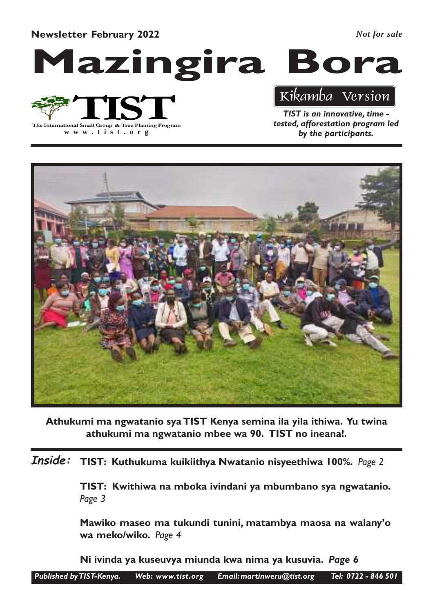Newsletter February 2022

*Not for sale*

Mazingira Bora

The International Small Group & Tree Planting Program

**www .tist.org**

## Kikamba Version

TIST is an innovative, time tested, afforestation program led by the participants.



Athukumi ma ngwatanio sya TIST Kenya semina ila yila ithiwa. Yu twina athukumi ma ngwatanio mbee wa 90. TIST no ineana!.

TIST: Kuthukuma kuikiithya Nwatanio nisyeethiwa 100%. Page 2 Inside:

> TIST: Kwithiwa na mboka ivindani ya mbumbano sya ngwatanio. Page 3

> Mawiko maseo ma tukundi tunini, matambya maosa na walany'o wa meko/wiko. Page 4

Ni ivinda ya kuseuvya miunda kwa nima ya kusuvia. Page 6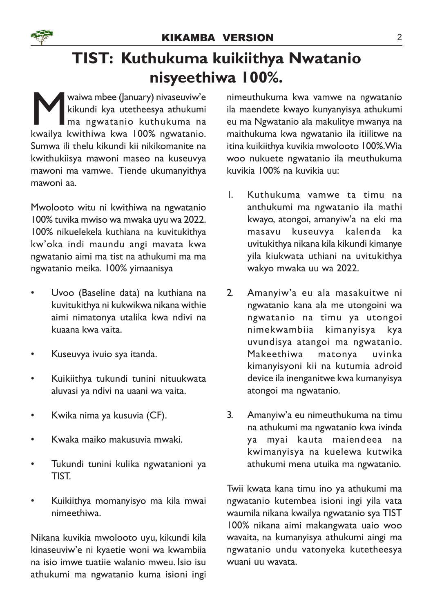# TIST: Kuthukuma kuikiithya Nwatanio nisyeethiwa 100%.

Waiwa mbee (January) nivaseuviw'e<br>kikundi kya utetheesya athukumi<br>ma ngwatanio kuthukuma na<br>kwailya kwithiwa kwa 100% ngwatanio. waiwa mbee (January) nivaseuviw'e kikundi kya utetheesya athukumi ma ngwatanio kuthukuma na Sumwa ili thelu kikundi kii nikikomanite na kwithukiisya mawoni maseo na kuseuvya mawoni ma vamwe. Tiende ukumanyithya mawoni aa.

Mwolooto witu ni kwithiwa na ngwatanio 100% tuvika mwiso wa mwaka uyu wa 2022. 100% nikuelekela kuthiana na kuvitukithya kw'oka indi maundu angi mavata kwa ngwatanio aimi ma tist na athukumi ma ma ngwatanio meika. 100% yimaanisya

- Uvoo (Baseline data) na kuthiana na kuvitukithya ni kukwikwa nikana withie aimi nimatonya utalika kwa ndivi na kuaana kwa vaita.
- Kuseuvya ivuio sya itanda.
- Kuikiithya tukundi tunini nituukwata aluvasi ya ndivi na uaani wa vaita.
- Kwika nima ya kusuvia (CF).
- Kwaka maiko makusuvia mwaki.
- Tukundi tunini kulika ngwatanioni ya TIST.
- Kuikiithya momanyisyo ma kila mwai nimeethiwa.

Nikana kuvikia mwolooto uyu, kikundi kila kinaseuviw'e ni kyaetie woni wa kwambiia na isio imwe tuatiie walanio mweu. Isio isu athukumi ma ngwatanio kuma isioni ingi

nimeuthukuma kwa vamwe na ngwatanio ila maendete kwayo kunyanyisya athukumi eu ma Ngwatanio ala makulitye mwanya na maithukuma kwa ngwatanio ila itiilitwe na itina kuikiithya kuvikia mwolooto 100%.Wia woo nukuete ngwatanio ila meuthukuma kuvikia 100% na kuvikia uu:

- 1. Kuthukuma vamwe ta timu na anthukumi ma ngwatanio ila mathi kwayo, atongoi, amanyiw'a na eki ma masavu kuseuvya kalenda ka uvitukithya nikana kila kikundi kimanye yila kiukwata uthiani na uvitukithya wakyo mwaka uu wa 2022.
- 2. Amanyiw'a eu ala masakuitwe ni ngwatanio kana ala me utongoini wa ngwatanio na timu ya utongoi nimekwambiia kimanyisya kya uvundisya atangoi ma ngwatanio. Makeethiwa matonya uvinka kimanyisyoni kii na kutumia adroid device ila inenganitwe kwa kumanyisya atongoi ma ngwatanio.
- 3. Amanyiw'a eu nimeuthukuma na timu na athukumi ma ngwatanio kwa ivinda ya myai kauta maiendeea na kwimanyisya na kuelewa kutwika athukumi mena utuika ma ngwatanio.

Twii kwata kana timu ino ya athukumi ma ngwatanio kutembea isioni ingi yila vata waumila nikana kwailya ngwatanio sya TIST 100% nikana aimi makangwata uaio woo wavaita, na kumanyisya athukumi aingi ma ngwatanio undu vatonyeka kutetheesya wuani uu wavata.

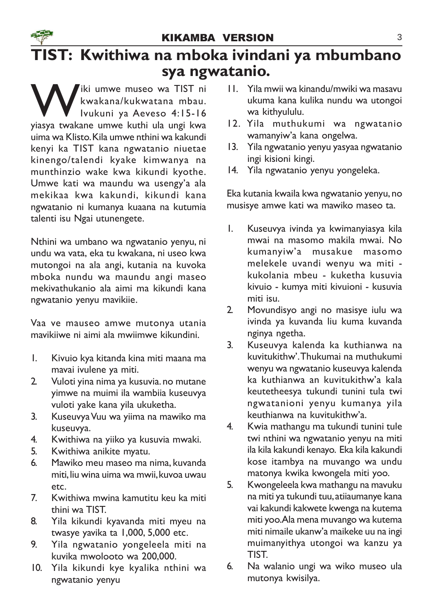# TIST: Kwithiwa na mboka ivindani ya mbumbano sya ngwatanio.

Wiki umwe museo wa TIST ni<br>kwakana/kukwatana mbau.<br>kwakane umwe kuthi ula ungi kwa kwakana/kukwatana mbau. Ivukuni ya Aeveso 4:15-16 yiasya twakane umwe kuthi ula ungi kwa uima wa Klisto. Kila umwe nthini wa kakundi kenyi ka TIST kana ngwatanio niuetae kinengo/talendi kyake kimwanya na munthinzio wake kwa kikundi kyothe. Umwe kati wa maundu wa usengy'a ala mekikaa kwa kakundi, kikundi kana ngwatanio ni kumanya kuaana na kutumia talenti isu Ngai utunengete.

Nthini wa umbano wa ngwatanio yenyu, ni undu wa vata, eka tu kwakana, ni useo kwa mutongoi na ala angi, kutania na kuvoka mboka nundu wa maundu angi maseo mekivathukanio ala aimi ma kikundi kana ngwatanio yenyu mavikiie.

Vaa ve mauseo amwe mutonya utania mavikiiwe ni aimi ala mwiimwe kikundini.

- 1. Kivuio kya kitanda kina miti maana ma mavai ivulene ya miti.
- 2. Vuloti yina nima ya kusuvia. no mutane yimwe na muimi ila wambiia kuseuvya vuloti yake kana yila ukuketha.
- 3. Kuseuvya Vuu wa yiima na mawiko ma kuseuvya.
- 4. Kwithiwa na yiiko ya kusuvia mwaki.
- 5. Kwithiwa anikite myatu.
- 6. Mawiko meu maseo ma nima, kuvanda miti, liu wina uima wa mwii, kuvoa uwau etc.
- 7. Kwithiwa mwina kamutitu keu ka miti thini wa TIST.
- 8. Yila kikundi kyavanda miti myeu na twasye yavika ta 1,000, 5,000 etc.
- 9. Yila ngwatanio yongeleela miti na kuvika mwolooto wa 200,000.
- 10. Yila kikundi kye kyalika nthini wa ngwatanio yenyu
- 11. Yila mwii wa kinandu/mwiki wa masavu ukuma kana kulika nundu wa utongoi wa kithyululu.
- 12. Yila muthukumi wa ngwatanio wamanyiw'a kana ongelwa.
- 13. Yila ngwatanio yenyu yasyaa ngwatanio ingi kisioni kingi.
- 14. Yila ngwatanio yenyu yongeleka.

Eka kutania kwaila kwa ngwatanio yenyu, no musisye amwe kati wa mawiko maseo ta.

- 1. Kuseuvya ivinda ya kwimanyiasya kila mwai na masomo makila mwai. No kumanyiw'a musakue masomo melekele uvandi wenyu wa miti kukolania mbeu - kuketha kusuvia kivuio - kumya miti kivuioni - kusuvia miti isu.
- 2. Movundisyo angi no masisye iulu wa ivinda ya kuvanda liu kuma kuvanda nginya ngetha.
- 3. Kuseuvya kalenda ka kuthianwa na kuvitukithw'.Thukumai na muthukumi wenyu wa ngwatanio kuseuvya kalenda ka kuthianwa an kuvitukithw'a kala keutetheesya tukundi tunini tula twi ngwatanioni yenyu kumanya yila keuthianwa na kuvitukithw'a.
- 4. Kwia mathangu ma tukundi tunini tule twi nthini wa ngwatanio yenyu na miti ila kila kakundi kenayo. Eka kila kakundi kose itambya na muvango wa undu matonya kwika kwongela miti yoo.
- 5. Kwongeleela kwa mathangu na mavuku na miti ya tukundi tuu, atiiaumanye kana vai kakundi kakwete kwenga na kutema miti yoo. Ala mena muvango wa kutema miti nimaile ukanw'a maikeke uu na ingi muimanyithya utongoi wa kanzu ya TIST.
- 6. Na walanio ungi wa wiko museo ula mutonya kwisilya.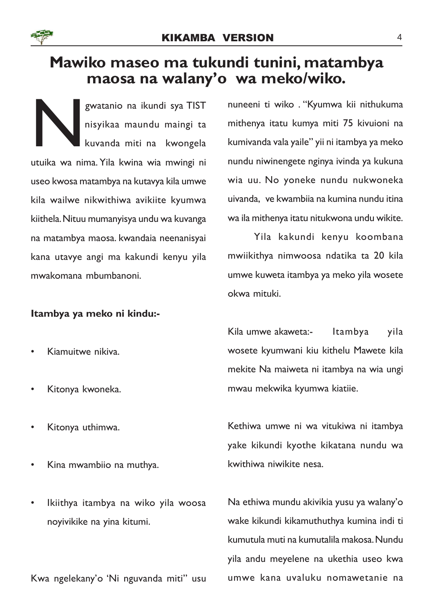

## Mawiko maseo ma tukundi tunini, matambya maosa na walany'o wa meko/wiko.

N gwatanio na ikundi sya TIST nisyikaa maundu maingi ta kuvanda miti na kwongela utuika wa nima. Yila kwina wia mwingi ni useo kwosa matambya na kutavya kila umwe kila wailwe nikwithiwa avikiite kyumwa kiithela. Nituu mumanyisya undu wa kuvanga na matambya maosa. kwandaia neenanisyai kana utavye angi ma kakundi kenyu yila mwakomana mbumbanoni.

## Itambya ya meko ni kindu:-

- Kiamuitwe nikiva.
- Kitonya kwoneka.
- Kitonya uthimwa.
- Kina mwambiio na muthya.
- Ikiithya itambya na wiko yila woosa noyivikike na yina kitumi.

Kwa ngelekany'o 'Ni nguvanda miti" usu

nuneeni ti wiko . "Kyumwa kii nithukuma mithenya itatu kumya miti 75 kivuioni na kumivanda vala yaile" yii ni itambya ya meko nundu niwinengete nginya ivinda ya kukuna wia uu. No yoneke nundu nukwoneka uivanda, ve kwambiia na kumina nundu itina wa ila mithenya itatu nitukwona undu wikite.

Yila kakundi kenyu koombana mwiikithya nimwoosa ndatika ta 20 kila umwe kuweta itambya ya meko yila wosete okwa mituki.

Kila umwe akaweta:- Itambya yila wosete kyumwani kiu kithelu Mawete kila mekite Na maiweta ni itambya na wia ungi mwau mekwika kyumwa kiatiie.

Kethiwa umwe ni wa vitukiwa ni itambya yake kikundi kyothe kikatana nundu wa kwithiwa niwikite nesa.

Na ethiwa mundu akivikia yusu ya walany'o wake kikundi kikamuthuthya kumina indi ti kumutula muti na kumutalila makosa. Nundu yila andu meyelene na ukethia useo kwa umwe kana uvaluku nomawetanie na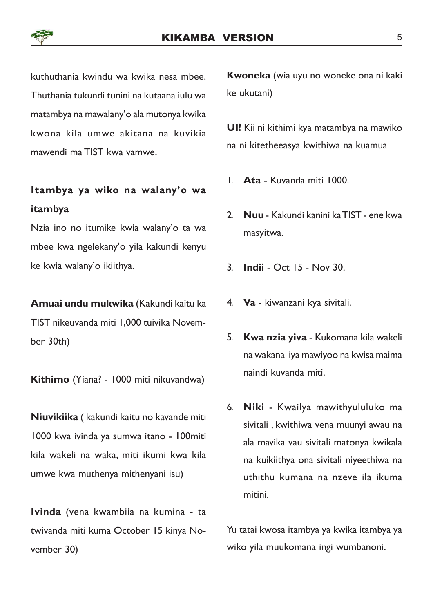

kuthuthania kwindu wa kwika nesa mbee. Thuthania tukundi tunini na kutaana iulu wa matambya na mawalany'o ala mutonya kwika kwona kila umwe akitana na kuvikia mawendi ma TIST kwa vamwe.

## Itambya ya wiko na walany'o wa itambya

Nzia ino no itumike kwia walany'o ta wa mbee kwa ngelekany'o yila kakundi kenyu ke kwia walany'o ikiithya.

Amuai undu mukwika (Kakundi kaitu ka TIST nikeuvanda miti 1,000 tuivika November 30th)

Kithimo (Yiana? - 1000 miti nikuvandwa)

Niuvikiika ( kakundi kaitu no kavande miti 1000 kwa ivinda ya sumwa itano - 100miti kila wakeli na waka, miti ikumi kwa kila umwe kwa muthenya mithenyani isu)

Ivinda (vena kwambiia na kumina - ta twivanda miti kuma October 15 kinya November 30)

Kwoneka (wia uyu no woneke ona ni kaki ke ukutani)

UI! Kii ni kithimi kya matambya na mawiko na ni kitetheeasya kwithiwa na kuamua

- 1. Ata Kuvanda miti 1000.
- 2. Nuu Kakundi kanini ka TIST ene kwa masyitwa.
- 3. Indii Oct 15 Nov 30.
- 4. Va kiwanzani kya sivitali.
- 5. Kwa nzia yiva Kukomana kila wakeli na wakana iya mawiyoo na kwisa maima naindi kuvanda miti.
- 6. Niki Kwailya mawithyululuko ma sivitali , kwithiwa vena muunyi awau na ala mavika vau sivitali matonya kwikala na kuikiithya ona sivitali niyeethiwa na uthithu kumana na nzeve ila ikuma mitini.

Yu tatai kwosa itambya ya kwika itambya ya wiko yila muukomana ingi wumbanoni.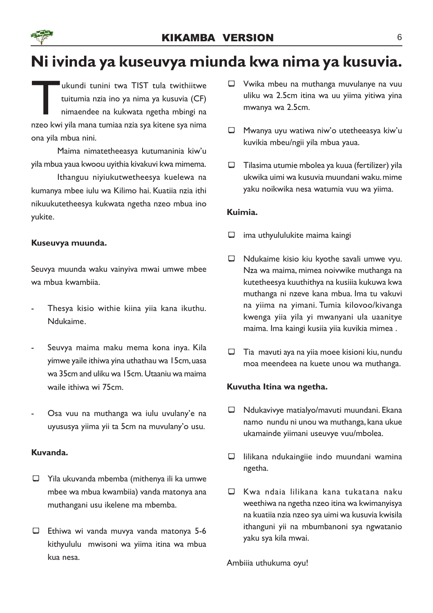# Ni ivinda ya kuseuvya miunda kwa nima ya kusuvia.

I ukundi tunini twa TIST tula twithiitwe<br>tuitumia nzia ino ya nima ya kusuvia (CF)<br>nimaendee na kukwata ngetha mbingi na<br>nzeo kwi yila mana tumiaa nzia sya kitene sya nima ukundi tunini twa TIST tula twithiitwe tuitumia nzia ino ya nima ya kusuvia (CF) nimaendee na kukwata ngetha mbingi na ona yila mbua nini.

Maima nimatetheeasya kutumaninia kiw'u yila mbua yaua kwoou uyithia kivakuvi kwa mimema.

Ithanguu niyiukutwetheesya kuelewa na kumanya mbee iulu wa Kilimo hai. Kuatiia nzia ithi nikuukutetheesya kukwata ngetha nzeo mbua ino yukite.

#### Kuseuvya muunda.

Seuvya muunda waku vainyiva mwai umwe mbee wa mbua kwambiia.

- Thesya kisio withie kiina yiia kana ikuthu. Ndukaime.
- Seuvya maima maku mema kona inya. Kila yimwe yaile ithiwa yina uthathau wa 15cm, uasa wa 35cm and uliku wa 15cm. Utaaniu wa maima waile ithiwa wi 75cm.
- Osa vuu na muthanga wa iulu uvulany'e na uyususya yiima yii ta 5cm na muvulany'o usu.

#### Kuvanda.

- $\Box$  Yila ukuvanda mbemba (mithenya ili ka umwe mbee wa mbua kwambiia) vanda matonya ana muthangani usu ikelene ma mbemba.
- $\Box$  Ethiwa wi vanda muvya vanda matonya 5-6 kithyululu mwisoni wa yiima itina wa mbua kua nesa.
- $\Box$  Vwika mbeu na muthanga muvulanye na vuu uliku wa 2.5cm itina wa uu yiima yitiwa yina mwanya wa 2.5cm.
- $\Box$  Mwanya uyu watiwa niw'o utetheeasya kiw'u kuvikia mbeu/ngii yila mbua yaua.
- $\Box$  Tilasima utumie mbolea ya kuua (fertilizer) yila ukwika uimi wa kusuvia muundani waku. mime yaku noikwika nesa watumia vuu wa yiima.

#### Kuimia.

- $\Box$  ima uthyululukite maima kaingi
- $\Box$  Ndukaime kisio kiu kyothe savali umwe vyu. Nza wa maima, mimea noivwike muthanga na kutetheesya kuuthithya na kusiiia kukuwa kwa muthanga ni nzeve kana mbua. Ima tu vakuvi na yiima na yimani. Tumia kilovoo/kivanga kwenga yiia yila yi mwanyani ula uaanitye maima. Ima kaingi kusiia yiia kuvikia mimea .
- $\Box$  Tia mavuti aya na yiia moee kisioni kiu, nundu moa meendeea na kuete unou wa muthanga.

#### Kuvutha Itina wa ngetha.

- $\Box$  Ndukavivye matialyo/mavuti muundani. Ekana namo nundu ni unou wa muthanga, kana ukue ukamainde yiimani useuvye vuu/mbolea.
- $\Box$  lilikana ndukaingiie indo muundani wamina ngetha.
- $\Box$  Kwa ndaia lilikana kana tukatana naku weethiwa na ngetha nzeo itina wa kwimanyisya na kuatiia nzia nzeo sya uimi wa kusuvia kwisila ithanguni yii na mbumbanoni sya ngwatanio yaku sya kila mwai.

Ambiiia uthukuma oyu!

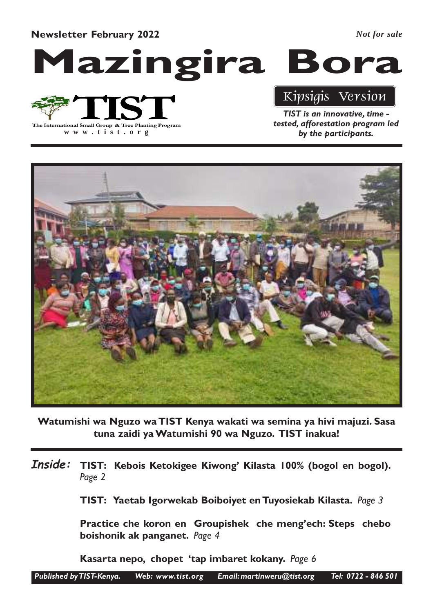Newsletter February 2022

*Not for sale*

Mazingira Bora

# The International Small Group & Tree Planting Program

**www .tist.org**

# Kipsigis Version

TIST is an innovative, time tested, afforestation program led by the participants.



Watumishi wa Nguzo wa TIST Kenya wakati wa semina ya hivi majuzi. Sasa tuna zaidi ya Watumishi 90 wa Nguzo. TIST inakua!

Inside: TIST: Kebois Ketokigee Kiwong' Kilasta 100% (bogol en bogol). Page 2

TIST: Yaetab Igorwekab Boiboiyet en Tuyosiekab Kilasta. Page 3

Practice che koron en Groupishek che meng'ech: Steps chebo boishonik ak panganet. Page 4

Kasarta nepo, chopet 'tap imbaret kokany. Page 6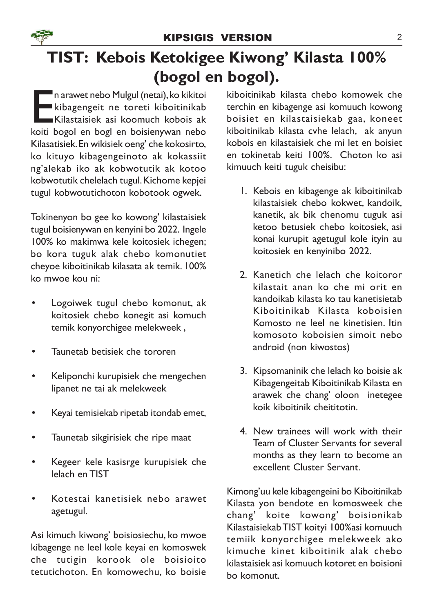

# TIST: Kebois Ketokigee Kiwong' Kilasta 100% (bogol en bogol).

Emarawet nebo Mulgul (netai), ko kikitoi<br>Kibagengeit ne toreti kiboitinikab<br>Kilastaisiek asi koomuch kobois ak<br>koiti bogol en bogl en boisienywan nebo n arawet nebo Mulgul (netai), ko kikitoi kibagengeit ne toreti kiboitinikab Kilastaisiek asi koomuch kobois ak Kilasatisiek. En wikisiek oeng' che kokosirto, ko kituyo kibagengeinoto ak kokassiit ng'alekab iko ak kobwotutik ak kotoo kobwotutik chelelach tugul. Kichome kepjei tugul kobwotutichoton kobotook ogwek.

Tokinenyon bo gee ko kowong' kilastaisiek tugul boisienywan en kenyini bo 2022. Ingele 100% ko makimwa kele koitosiek ichegen; bo kora tuguk alak chebo komonutiet cheyoe kiboitinikab kilasata ak temik. 100% ko mwoe kou ni:

- Logoiwek tugul chebo komonut, ak koitosiek chebo konegit asi komuch temik konyorchigee melekweek ,
- Taunetab betisiek che tororen
- Keliponchi kurupisiek che mengechen lipanet ne tai ak melekweek
- Keyai temisiekab ripetab itondab emet,
- Taunetab sikgirisiek che ripe maat
- Kegeer kele kasisrge kurupisiek che lelach en TIST
- Kotestai kanetisiek nebo arawet agetugul.

Asi kimuch kiwong' boisiosiechu, ko mwoe kibagenge ne leel kole keyai en komoswek che tutigin korook ole boisioito tetutichoton. En komowechu, ko boisie kiboitinikab kilasta chebo komowek che terchin en kibagenge asi komuuch kowong boisiet en kilastaisiekab gaa, koneet kiboitinikab kilasta cvhe lelach, ak anyun kobois en kilastaisiek che mi let en boisiet en tokinetab keiti 100%. Choton ko asi kimuuch keiti tuguk cheisibu:

- 1. Kebois en kibagenge ak kiboitinikab kilastaisiek chebo kokwet, kandoik, kanetik, ak bik chenomu tuguk asi ketoo betusiek chebo koitosiek, asi konai kurupit agetugul kole ityin au koitosiek en kenyinibo 2022.
- 2. Kanetich che lelach che koitoror kilastait anan ko che mi orit en kandoikab kilasta ko tau kanetisietab Kiboitinikab Kilasta koboisien Komosto ne leel ne kinetisien. Itin komosoto koboisien simoit nebo android (non kiwostos)
- 3. Kipsomaninik che lelach ko boisie ak Kibagengeitab Kiboitinikab Kilasta en arawek che chang' oloon inetegee koik kiboitinik cheititotin.
- 4. New trainees will work with their Team of Cluster Servants for several months as they learn to become an excellent Cluster Servant.

Kimong'uu kele kibagengeini bo Kiboitinikab Kilasta yon bendote en komosweek che chang' koite kowong' boisionikab Kilastaisiekab TIST koityi 100%asi komuuch temiik konyorchigee melekweek ako kimuche kinet kiboitinik alak chebo kilastaisiek asi komuuch kotoret en boisioni bo komonut.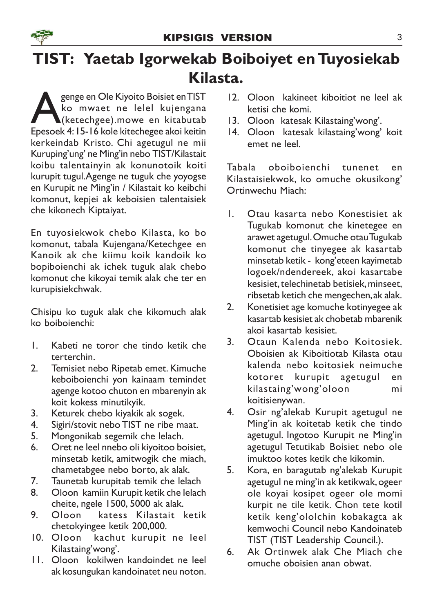

# TIST: Yaetab Igorwekab Boiboiyet en Tuyosiekab Kilasta.

Supplem Cale Kiyoito Boisiet en TIST<br>A (kommer die lebel kujengana)<br>Epesoek 4: 15-16 kole kitechegee akoi keitin genge en Ole Kiyoito Boisiet en TIST ko mwaet ne lelel kujengana (ketechgee).mowe en kitabutab kerkeindab Kristo. Chi agetugul ne mii Kuruping'ung' ne Ming'in nebo TIST/Kilastait koibu talentainyin ak konunotoik koiti kurupit tugul.Agenge ne tuguk che yoyogse en Kurupit ne Ming'in / Kilastait ko keibchi komonut, kepjei ak keboisien talentaisiek che kikonech Kiptaiyat.

En tuyosiekwok chebo Kilasta, ko bo komonut, tabala Kujengana/Ketechgee en Kanoik ak che kiimu koik kandoik ko bopiboienchi ak ichek tuguk alak chebo komonut che kikoyai temik alak che ter en kurupisiekchwak.

Chisipu ko tuguk alak che kikomuch alak ko boiboienchi:

- 1. Kabeti ne toror che tindo ketik che terterchin.
- 2. Temisiet nebo Ripetab emet. Kimuche keboiboienchi yon kainaam temindet agenge kotoo chuton en mbarenyin ak koit kokess minutikyik.
- 3. Keturek chebo kiyakik ak sogek.
- 4. Sigiri/stovit nebo TIST ne ribe maat.
- 5. Mongonikab segemik che lelach.
- 6. Oret ne leel nnebo oli kiyoitoo boisiet, minsetab ketik, amitwogik che miach, chametabgee nebo borto, ak alak.
- 7. Taunetab kurupitab temik che lelach
- 8. Oloon kamiin Kurupit ketik che lelach cheite, ngele 1500, 5000 ak alak.
- 9. Oloon katess Kilastait ketik chetokyingee ketik 200,000.
- 10. Oloon kachut kurupit ne leel Kilastaing'wong'.
- 11. Oloon kokilwen kandoindet ne leel ak kosungukan kandoinatet neu noton.
- 12. Oloon kakineet kiboitiot ne leel ak ketisi che komi.
- 13. Oloon katesak Kilastaing'wong'.
- 14. Oloon katesak kilastaing'wong' koit emet ne leel.

Tabala oboiboienchi tunenet en Kilastaisiekwok, ko omuche okusikong' Ortinwechu Miach:

- 1. Otau kasarta nebo Konestisiet ak Tugukab komonut che kinetegee en arawet agetugul. Omuche otau Tugukab komonut che tinyegee ak kasartab minsetab ketik - kong'eteen kayimetab logoek/ndendereek, akoi kasartabe kesisiet, telechinetab betisiek, minseet, ribsetab ketich che mengechen, ak alak.
- 2. Konetisiet age komuche kotinyegee ak kasartab kesisiet ak chobetab mbarenik akoi kasartab kesisiet.
- 3. Otaun Kalenda nebo Koitosiek. Oboisien ak Kiboitiotab Kilasta otau kalenda nebo koitosiek neimuche kotoret kurupit agetugul en kilastaing'wong'oloon mi koitisienywan.
- 4. Osir ng'alekab Kurupit agetugul ne Ming'in ak koitetab ketik che tindo agetugul. Ingotoo Kurupit ne Ming'in agetugul Tetutikab Boisiet nebo ole imuktoo kotes ketik che kikomin.
- 5. Kora, en baragutab ng'alekab Kurupit agetugul ne ming'in ak ketikwak, ogeer ole koyai kosipet ogeer ole momi kurpit ne tile ketik. Chon tete kotil ketik keng'ololchin kobakagta ak kemwochi Council nebo Kandoinateb TIST (TIST Leadership Council.).
- 6. Ak Ortinwek alak Che Miach che omuche oboisien anan obwat.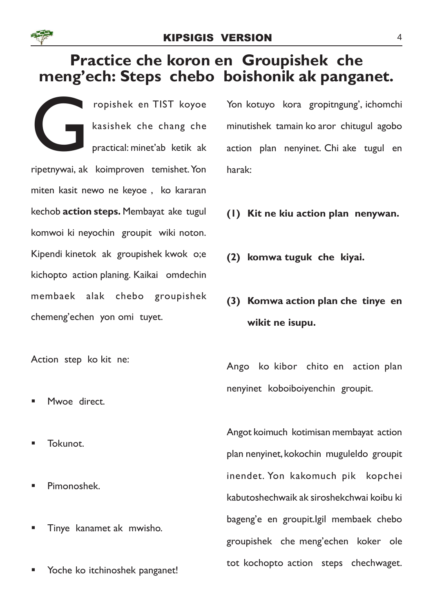

## Practice che koron en Groupishek che meng'ech: Steps chebo boishonik ak panganet.

Contractor de la Contraction de la Contraction de la Contraction de la Contraction de la Contraction de la Contraction de la Contraction de la Contraction de la Contraction de la Contraction de la Contraction de la Contrac ropishek en TIST koyoe kasishek che chang che practical: minet'ab ketik ak ripetnywai, ak koimproven temishet. Yon miten kasit newo ne keyoe , ko kararan kechob action steps. Membayat ake tugul komwoi ki neyochin groupit wiki noton. Kipendi kinetok ak groupishek kwok o;e kichopto action planing. Kaikai omdechin membaek alak chebo groupishek chemeng'echen yon omi tuyet.

Action step ko kit ne:

- Mwoe direct.
- § Tokunot.
- § Pimonoshek.
- § Tinye kanamet ak mwisho.
- Yoche ko itchinoshek panganet!

Yon kotuyo kora gropitngung', ichomchi minutishek tamain ko aror chitugul agobo action plan nenyinet. Chi ake tugul en harak:

- (1) Kit ne kiu action plan nenywan.
- (2) komwa tuguk che kiyai.
- (3) Komwa action plan che tinye en wikit ne isupu.

Ango ko kibor chito en action plan nenyinet koboiboiyenchin groupit.

Angot koimuch kotimisan membayat action plan nenyinet, kokochin muguleldo groupit inendet. Yon kakomuch pik kopchei kabutoshechwaik ak siroshekchwai koibu ki bageng'e en groupit.Igil membaek chebo groupishek che meng'echen koker ole tot kochopto action steps chechwaget.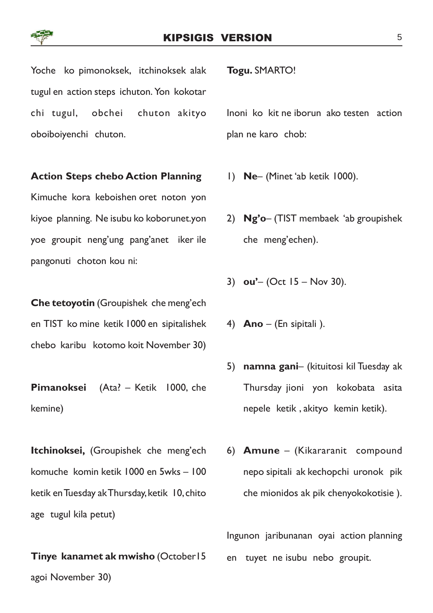Yoche ko pimonoksek, itchinoksek alak tugul en action steps ichuton. Yon kokotar chi tugul, obchei chuton akityo oboiboiyenchi chuton.

#### Action Steps chebo Action Planning

Kimuche kora keboishen oret noton yon kiyoe planning. Ne isubu ko koborunet.yon yoe groupit neng'ung pang'anet iker ile pangonuti choton kou ni:

Che tetoyotin (Groupishek che meng'ech en TIST ko mine ketik 1000 en sipitalishek chebo karibu kotomo koit November 30)

Pimanoksei (Ata? – Ketik 1000, che kemine)

Itchinoksei, (Groupishek che meng'ech komuche komin ketik 1000 en 5wks – 100 ketik en Tuesday ak Thursday, ketik 10, chito age tugul kila petut)

## Tinye kanamet ak mwisho (October15

agoi November 30)

Togu. SMARTO!

Inoni ko kit ne iborun ako testen action plan ne karo chob:

- 1) Ne– (Minet 'ab ketik 1000).
- 2) Ng'o– (TIST membaek 'ab groupishek che meng'echen).
- 3)  $ou'$  (Oct 15 Nov 30).
- 4) **Ano** (En sipitali).
- 5) namna gani– (kituitosi kil Tuesday ak Thursday jioni yon kokobata asita nepele ketik , akityo kemin ketik).
- 6) Amune (Kikararanit compound nepo sipitali ak kechopchi uronok pik che mionidos ak pik chenyokokotisie ).

Ingunon jaribunanan oyai action planning en tuyet ne isubu nebo groupit.